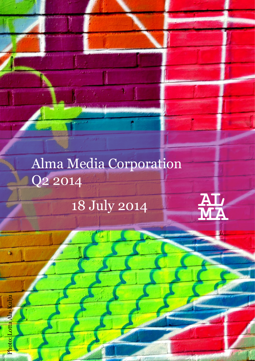# Alma Media Corporation Q2 2014

pe juga

18 July 2014

L

Photo: Lotta Ala-Kulju

P<mark>hoto: Lotta Ala-K</mark>ulju

 $\bullet$ 

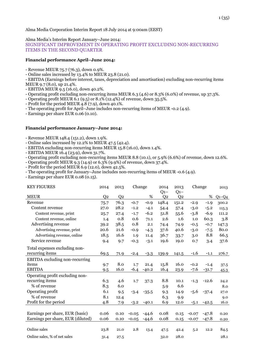#### Alma Media's Interim Report January–June 2014:

SIGNIFICANT IMPROVEMENT IN OPERATING PROFIT EXCLUDING NON-RECURRING ITEMS IN THE SECOND QUARTER

#### **Financial performance April–June 2014:**

- Revenue MEUR 75.7 (76.3), down 0.9%.
- Online sales increased by 13.4% to MEUR 23.8 (21.0).
- EBITDA (Earnings before interest, taxes, depreciation and amortisation) excluding non-recurring items MEUR 9.7 (8.0), up 21.4%.
- EBITDA MEUR 9.5 (16.0), down 40.2%.
- Operating profit excluding non-recurring items MEUR 6.3 (4.6) or 8.3% (6.0%) of revenue, up 37.3%.
- Operating profit MEUR 6.1 (9.5) or 8.1% (12.4%) of revenue, down 35.5%.
- Profit for the period MEUR 4.8 (7.9), down 40.1%.
- The operating profit for April–June includes non-recurring items of MEUR -0.2 (4.9).
- Earnings per share EUR 0.06 (0.10).

#### **Financial performance January–June 2014:**

- Revenue MEUR 148.4 (151.2), down 1.9%.

- Online sales increased by 12.2% to MEUR 47.5 (42.4).
- EBITDA excluding non-recurring items MEUR 15.8 (16.0), down 1.4%.
- EBITDA MEUR 16.4 (23.9), down 31.7%.
- Operating profit excluding non-recurring items MEUR 8.8 (10.1), or 5.9% (6.6%) of revenue, down 12.6%.
- Operating profit MEUR 9.3 (14.9) or 6.3% (9.9%) of revenue, down 37.4%.
- Profit for the period MEUR 6.9 (12.0), down 42.5%.
- The operating profit for January–June includes non-recurring items of MEUR -0.6 (4.9).
- Earnings per share EUR 0.08 (0.15).

| <b>KEY FIGURES</b>                | 2014           | 2013 | Change  |         | 2014<br>$Q1-$  | 2013<br>$Q1-$  | Change  |         | 2013    |
|-----------------------------------|----------------|------|---------|---------|----------------|----------------|---------|---------|---------|
| <b>MEUR</b>                       | Q <sub>2</sub> | Q2   |         | %       | Q <sub>2</sub> | Q <sub>2</sub> |         | %       | $Q1-Q4$ |
| Revenue                           | 75.7           | 76.3 | $-0.7$  | $-0.9$  | 148.4          | 151.2          | $-2.9$  | $-1.9$  | 300.2   |
| Content revenue                   | 27.0           | 28.2 | $-1.2$  | $-4.1$  | 54.4           | 57.4           | $-3.0$  | $-5.2$  | 115.3   |
| Content revenue, print            | 25.7           | 27.4 | $-1.7$  | $-6.2$  | 51.8           | 55.6           | $-3.8$  | $-6.9$  | 111.2   |
| Content revenue, online           | 1.4            | 0.8  | 0.6     | 71.1    | 2.6            | 1.6            | 1.0     | 60.3    | 3.8     |
| Advertising revenue               | 39.2           | 38.5 | 0.8     | 2.1     | 74.4           | 74.9           | $-0.5$  | $-0.7$  | 147.3   |
| Advertising revenue, print        | 20.6           | 21.6 | $-0.9$  | $-4.3$  | 37.6           | 40.6           | $-3.0$  | $-7.5$  | 80.0    |
| Advertising revenue, online       | 18.5           | 16.6 | 1.9     | 11.4    | 36.7           | 33.7           | 3.0     | 8.8     | 66.5    |
| Service revenue                   | 9.4            | 9.7  | $-0.3$  | $-3.1$  | 19.6           | 19.0           | 0.7     | 3.4     | 37.6    |
| Total expenses excluding non-     |                |      |         |         |                |                |         |         |         |
| recurring items                   | 69.5           | 71.9 | $-2.4$  | $-3.3$  | 139.9          | 141.5          | $-1.6$  | $-1.1$  | 276.7   |
| EBITDA excluding non-recurring    |                |      |         |         |                |                |         |         |         |
| items                             | 9.7            | 8.0  | 1.7     | 21.4    | 15.8           | 16.0           | $-0.2$  | $-1.4$  | 37.5    |
| <b>EBITDA</b>                     | 9.5            | 16.0 | $-6.4$  | $-40.2$ | 16.4           | 23.9           | $-7.6$  | $-31.7$ | 45.3    |
| Operating profit excluding non-   |                |      |         |         |                |                |         |         |         |
| recurring items                   | 6.3            | 4.6  | 1.7     | 37.3    | 8.8            | 10.1           | $-1.3$  | $-12.6$ | 24.2    |
| % of revenue                      | 8.3            | 6.0  |         |         | 5.9            | 6.6            |         |         | 8.0     |
| Operating profit                  | 6.1            | 9.5  | $-3.4$  | $-35.5$ | 9.3            | 14.9           | $-5.6$  | $-37.4$ | 27.0    |
| % of revenue                      | 8.1            | 12.4 |         |         | 6.3            | 9.9            |         |         | 9.0     |
| Profit for the period             | 4.8            | 7.9  | $-3.2$  | $-40.1$ | 6.9            | 12.0           | $-5.1$  | $-42.5$ | 16.0    |
|                                   |                |      |         |         |                |                |         |         |         |
| Earnings per share, EUR (basic)   | 0.06           | 0.10 | $-0.05$ | $-44.6$ | 0.08           | 0.15           | $-0.07$ | $-47.8$ | 0.20    |
| Earnings per share, EUR (diluted) | 0.06           | 0.10 | $-0.05$ | $-44.6$ | 0.08           | 0.15           | $-0.07$ | $-47.8$ | 0.20    |
|                                   |                |      |         |         |                |                |         |         |         |
| Online sales                      | 23.8           | 21.0 | 2.8     | 13.4    | 47.5           | 42.4           | 5.2     | 12.2    | 84.5    |
| Online sales, % of net sales      | 31.4           | 27.5 |         |         | 32.0           | 28.0           |         |         | 28.1    |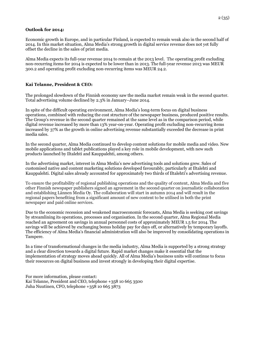#### **Outlook for 2014:**

Economic growth in Europe, and in particular Finland, is expected to remain weak also in the second half of 2014. In this market situation, Alma Media's strong growth in digital service revenue does not yet fully offset the decline in the sales of print media.

Alma Media expects its full-year revenue 2014 to remain at the 2013 level. The operating profit excluding non-recurring items for 2014 is expected to be lower than in 2013. The full-year revenue 2013 was MEUR 300.2 and operating profit excluding non-recurring items was MEUR 24.2.

## **Kai Telanne, President & CEO:**

The prolonged slowdown of the Finnish economy saw the media market remain weak in the second quarter. Total advertising volume declined by 2.3% in January–June 2014.

In spite of the difficult operating environment, Alma Media's long-term focus on digital business operations, combined with reducing the cost structure of the newspaper business, produced positive results. The Group's revenue in the second quarter remained at the same level as in the comparison period, while digital revenue increased by more than 13% year-on-year. Operating profit excluding non-recurring items increased by 37% as the growth in online advertising revenue substantially exceeded the decrease in print media sales.

In the second quarter, Alma Media continued to develop content solutions for mobile media and video. New mobile applications and tablet publications played a key role in mobile development, with new such products launched by Iltalehti and Kauppalehti, among others.

In the advertising market, interest in Alma Media's new advertising tools and solutions grew. Sales of customised native and content marketing solutions developed favourably, particularly at Iltalehti and Kauppalehti. Digital sales already accounted for approximately two thirds of Iltalehti's advertising revenue.

To ensure the profitability of regional publishing operations and the quality of content, Alma Media and five other Finnish newspaper publishers signed an agreement in the second quarter on journalistic collaboration and establishing Lännen Media Oy. The collaboration will start in autumn 2014 and will result in the regional papers benefiting from a significant amount of new content to be utilised in both the print newspaper and paid online services.

Due to the economic recession and weakened macroeconomic forecasts, Alma Media is seeking cost savings by streamlining its operations, processes and organisation. In the second quarter, Alma Regional Media reached an agreement on savings in annual personnel costs of approximately MEUR 1.5 for 2014. The savings will be achieved by exchanging bonus holiday pay for days off, or alternatively by temporary layoffs. The efficiency of Alma Media's financial administration will also be improved by consolidating operations in Tampere.

In a time of transformational changes in the media industry, Alma Media is supported by a strong strategy and a clear direction towards a digital future. Rapid market changes make it essential that the implementation of strategy moves ahead quickly. All of Alma Media's business units will continue to focus their resources on digital business and invest strongly in developing their digital expertise.

For more information, please contact: Kai Telanne, President and CEO, telephone +358 10 665 3500 Juha Nuutinen, CFO, telephone +358 10 665 3873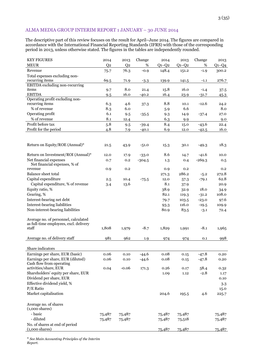## ALMA MEDIA GROUP INTERIM REPORT 1 JANUARY – 30 JUNE 2014

The descriptive part of this review focuses on the result for April–June 2014. The figures are compared in accordance with the International Financial Reporting Standards (IFRS) with those of the corresponding period in 2013, unless otherwise stated. The figures in the tables are independently rounded.

| <b>KEY FIGURES</b>                                         | 2014           | 2013           | Change             | 2014      | 2013         | Change         | 2013     |
|------------------------------------------------------------|----------------|----------------|--------------------|-----------|--------------|----------------|----------|
| <b>MEUR</b>                                                | Q <sub>2</sub> | Q <sub>2</sub> | $\%$               | $Q_1-Q_2$ | $Q1-Q2$      | %              | $Q1-Q4$  |
| Revenue                                                    | 75.7           | 76.3           | $-0.9$             | 148.4     | 151.2        | $-1.9$         | 300.2    |
| Total expenses excluding non-                              |                |                |                    |           |              |                |          |
| recurring items                                            | 69.5           | 71.9           | $-3.3$             | 139.9     | 141.5        | $-1.1$         | 276.7    |
| EBITDA excluding non-recurring                             |                |                |                    |           |              |                |          |
| items                                                      | 9.7            | 8.0            | 21.4               | 15.8      | 16.0         | $-1.4$         | 37.5     |
| <b>EBITDA</b>                                              | 9.5            | 16.0           | $-40.2$            | 16.4      | 23.9         | $-31.7$        | 45.3     |
| Operating profit excluding non-<br>recurring items         | 6.3            | 4.6            |                    | 8.8       | 10.1         | $-12.6$        | 24.2     |
| % of revenue                                               | 8.3            | 6.0            | 37.3               | 5.9       | 6.6          |                | 8.0      |
| Operating profit                                           | 6.1            | 9.5            | $-35.5$            | 9.3       | 14.9         | $-37.4$        | 27.0     |
| % of revenue                                               | 8.1            | 12.4           |                    | 6.3       | 9.9          |                | 9.0      |
| Profit before tax                                          | 5.8            |                |                    | 8.4       |              | $-43.6$        | 22.4     |
| Profit for the period                                      | 4.8            | 9.5            | $-39.4$<br>$-40.1$ | 6.9       | 15.0<br>12.0 |                | 16.0     |
|                                                            |                | 7.9            |                    |           |              | $-42.5$        |          |
|                                                            |                |                |                    |           |              |                |          |
| Return on Equity/ROE (Annual)*                             | 21.5           |                | $-51.0$            |           | 30.1         |                | 18.3     |
|                                                            |                | 43.9           |                    | 15.3      |              | $-49.3$        |          |
| Return on Investment/ROI (Annual)*                         | 12.0           | 17.9           | $-33.0$            | 8.6       | 14.7         | $-41.6$        | 10.0     |
| Net financial expenses                                     | 0.7            | 0.2            | $-304.5$           | 1.3       | 0.4          | $-269.3$       | 0.5      |
| Net financial expenses, % of                               |                |                |                    |           |              |                |          |
| revenue                                                    | 0.9            | 0.2            |                    | 0.9       | $_{\rm 0.2}$ |                | 0.2      |
| Balance sheet total                                        |                |                |                    | 271.3     | 286.2        | $-5.2$         | 272.8    |
| Capital expenditure                                        | 2.5            | 10.4           | $-75.5$            | 12.0      | 57.3         | $-79.1$        | 62.8     |
| Capital expenditure, % of revenue                          | 3.4            | 13.6           |                    | 8.1       | 37.9         |                | 20.9     |
| Equity ratio, %                                            |                |                |                    | 38.9      | 32.9         | 18.0           | 34.9     |
| Gearing, %                                                 |                |                |                    | 82.1      | 119.3        | $-31.2$        | 108.0    |
| Interest-bearing net debt                                  |                |                |                    | 79.7      | 103.5        | $-23.0$        | 97.6     |
| Interest-bearing liabilities                               |                |                |                    | 93.3      | 116.0        | $-19.5$        | 109.9    |
| Non-interest-bearing liabilities                           |                |                |                    | 80.9      | 83.5         | $-3.1$         | 72.4     |
|                                                            |                |                |                    |           |              |                |          |
| Average no. of personnel, calculated                       |                |                |                    |           |              |                |          |
| as full-time employees, excl. delivery                     |                |                |                    |           |              |                |          |
| staff                                                      | 1,808          | 1,979          | $-8.7$             | 1,829     | 1,991        | $-8.1$         | 1,965    |
|                                                            |                |                |                    |           |              |                |          |
| Average no. of delivery staff                              | 981            | 962            | 1.9                | 974       | 974          | 0.1            | 998      |
|                                                            |                |                |                    |           |              |                |          |
| Share indicators                                           |                |                |                    |           |              |                |          |
| Earnings per share, EUR (basic)                            | 0.06           | $0.10\,$       | $-44.6$            | 0.08      | 0.15         | $-47.8$        | 0.20     |
| Earnings per share, EUR (diluted)                          | 0.06           | 0.10           | $-44.6$            | 0.08      | 0.15         | $-47.8$        | $0.20\,$ |
| Cash flow from operating<br>activities/share, EUR          |                | $-0.06$        |                    |           |              |                |          |
| Shareholders' equity per share, EUR                        | 0.04           |                | 171.3              | 0.26      | 0.17         | 58.4<br>$-2.8$ | 0.32     |
|                                                            |                |                |                    | 1.09      | 1.12         |                | 1.17     |
| Dividend per share, EUR                                    |                |                |                    |           |              |                | 0.10     |
| Effective dividend yield, %                                |                |                |                    |           |              |                | 3.3      |
| P/E Ratio                                                  |                |                |                    |           |              |                | 15.0     |
| Market capitalisation                                      |                |                |                    | 204.6     | 195.5        | 4.6            | 225.7    |
|                                                            |                |                |                    |           |              |                |          |
| Average no. of shares                                      |                |                |                    |           |              |                |          |
| $(1,000 \text{ shares})$<br>- basic                        |                |                |                    |           |              |                |          |
| - diluted                                                  | 75,487         | 75,487         |                    | 75,487    | 75,487       |                | 75,487   |
|                                                            | 75,487         | 75,487         |                    | 75,487    | 75,518       |                | 75,487   |
| No. of shares at end of period<br>$(1,000 \text{ shares})$ |                |                |                    |           |              |                |          |
|                                                            |                |                |                    | 75,487    | 75,487       |                | 75,487   |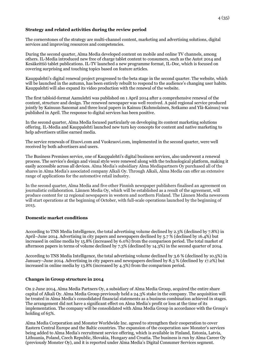## **Strategy and related activities during the review period**

The cornerstones of the strategy are multi-channel content, marketing and advertising solutions, digital services and improving resources and competencies.

During the second quarter, Alma Media developed content on mobile and online TV channels, among others. IL-Media introduced new free of charge tablet content to consumers, such as the Autot 2014 and Kesäkeittiö tablet publications. IL-TV launched a new programme format, IL-Doc, which is focused on covering surprising and touching topics based on feature articles.

Kauppalehti's digital renewal project progressed to the beta stage in the second quarter. The website, which will be launched in the autumn, has been entirely rebuilt to respond to the audience's changing user habits. Kauppalehti will also expand its video production with the renewal of the website.

The first tabloid-format Aamulehti was published on 1 April 2014 after a comprehensive renewal of the content, structure and design. The renewed newspaper was well received. A paid regional service produced jointly by Kainuun Sanomat and three local papers in Kainuu (Kuhmolainen, Sotkamo and Ylä-Kainuu) was published in April. The response to digital services has been positive.

In the second quarter, Alma Media focused particularly on developing its content marketing solutions offering. IL-Media and Kauppalehti launched new turn key concepts for content and native marketing to help advertisers utilise earned media.

The service renewals of Etuovi.com and Vuokraovi.com, implemented in the second quarter, were well received by both advertisers and users.

The Business Premises service, one of Kauppalehti's digital business services, also underwent a renewal process. The service's design and visual style were renewed along with the technological platform, making it easily accessible across all devices. Alma Media's subsidiary Alma Mediapartners Oy purchased all of the shares in Alma Media's associated company Alkali Oy. Through Alkali, Alma Media can offer an extensive range of applications for the automotive retail industry.

In the second quarter, Alma Media and five other Finnish newspaper publishers finalised an agreement on journalistic collaboration. Lännen Media Oy, which will be established as a result of the agreement, will produce content for 12 regional newspapers in western and northern Finland. The Lännen Media newsroom will start operations at the beginning of October, with full-scale operations launched by the beginning of 2015.

## **Domestic market conditions**

According to TNS Media Intelligence, the total advertising volume declined by 2.3% (declined by 7.8%) in April–June 2014. Advertising in city papers and newspapers declined by 5.7 % (declined by 16.4%) but increased in online media by 15.8% (increased by 6.0%) from the comparison period. The total market of afternoon papers in terms of volume declined by 7.3% (declined by 14.3%) in the second quarter of 2014.

According to TNS Media Intelligence, the total advertising volume declined by 3.6 % (declined by 10.5%) in January–June 2014. Advertising in city papers and newspapers declined by 8.3 % (declined by 17.2%) but increased in online media by 13.8% (increased by 4.3%) from the comparison period.

## **Changes in Group structure in 2014**

On 2 June 2014, Alma Media Partners Oy, a subsidiary of Alma Media Group, acquired the entire share capital of Alkali Oy. Alma Media Group previously held a 24.3% stake in the company. The acquisition will be treated in Alma Media's consolidated financial statements as a business combination achieved in stages. The arrangement did not have a significant effect on Alma Media's profit or loss at the time of its implementation. The company will be consolidated with Alma Media Group in accordance with the Group's holding of 65%.

Alma Media Corporation and Monster Worldwide Inc. agreed to strengthen their cooperation to cover Eastern Central Europe and the Baltic countries. The expansion of the cooperation saw Monster's services being added to Alma Media's recruitment service offering, which is available in Finland, Estonia, Latvia, Lithuania, Poland, Czech Republic, Slovakia, Hungary and Croatia. The business is run by Alma Career Oy (previously Monster Oy), and it is reported under Alma Media's Digital Consumer Services segment.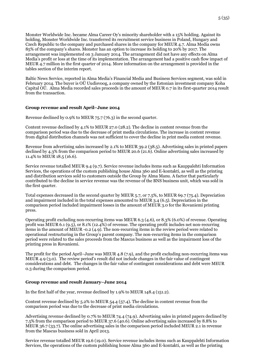Monster Worldwide Inc. became Alma Career Oy's minority shareholder with a 15% holding. Against its holding, Monster Worldwide Inc. transferred its recruitment service business in Poland, Hungary and Czech Republic to the company and purchased shares in the company for MEUR 4.7. Alma Media owns 85% of the company's shares. Monster has an option to increase its holding to 20% by 2017. The arrangement was implemented on 3 January 2014. The arrangement did not have any effects on Alma Media's profit or loss at the time of its implementation. The arrangement had a positive cash flow impact of MEUR 4.7 million in the first quarter of 2014. More information on the arrangement is provided in the tables section of the interim report.

Baltic News Service, reported in Alma Media's Financial Media and Business Services segment, was sold in February 2014. The buyer is OÜ Uudisvoog, a company owned by the Estonian investment company Koha Capital OÜ. Alma Media recorded sales proceeds in the amount of MEUR 0.7 in its first-quarter 2014 result from the transaction.

## **Group revenue and result April–June 2014**

Revenue declined by 0.9% to MEUR 75.7 (76.3) in the second quarter.

Content revenue declined by 4.1% to MEUR 27.0 (28.2). The decline in content revenue from the comparison period was due to the decrease of print media circulations. The increase in content revenue from digital distribution channels was not sufficient to cover the decline in print media content revenue.

Revenue from advertising sales increased by 2.1% to MEUR 39.2 (38.5). Advertising sales in printed papers declined by 4.3% from the comparison period to MEUR 20.6 (21.6). Online advertising sales increased by 11.4% to MEUR 18.5 (16.6).

Service revenue totalled MEUR 9.4 (9.7). Service revenue includes items such as Kauppalehti Information Services, the operations of the custom publishing house Alma 360 and E-kontakti, as well as the printing and distribution services sold to customers outside the Group by Alma Manu. A factor that particularly contributed to the decline in service revenue was the revenue of the BNS business unit, which was sold in the first quarter.

Total expenses decreased in the second quarter by MEUR 5.7, or 7.5%, to MEUR 69.7 (75.4). Depreciation and impairment included in the total expenses amounted to MEUR 3.4 (6.5). Depreciation in the comparison period included impairment losses in the amount of MEUR 3.0 for the Rovaniemi printing press.

Operating profit excluding non-recurring items was MEUR 6.3 (4.6), or 8.3% (6.0%) of revenue. Operating profit was MEUR 6.1 (9.5), or 8.1% (12.4%) of revenue. The operating profit includes net non-recurring items in the amount of MEUR -0.2 (4.9). The non-recurring items in the review period were related to operational restructuring in the Group's parent company. The non-recurring items in the comparison period were related to the sales proceeds from the Mascus business as well as the impairment loss of the printing press in Rovaniemi.

The profit for the period April–June was MEUR 4.8 (7.9), and the profit excluding non-recurring items was MEUR 4.9 (3.0). The review period's result did not include changes in the fair value of contingent considerations and debt. The changes in the fair value of contingent considerations and debt were MEUR 0.3 during the comparison period.

#### **Group revenue and result January–June 2014**

In the first half of the year, revenue declined by 1.9% to MEUR 148.4 (151.2).

Content revenue declined by 5.2% to MEUR 54.4 (57.4). The decline in content revenue from the comparison period was due to the decrease of print media circulations.

Advertising revenue declined by 0.7% to MEUR 74.4 (74.9). Advertising sales in printed papers declined by 7.5% from the comparison period to MEUR 37.6 (40.6). Online advertising sales increased by 8.8% to MEUR 36.7 (33.7). The online advertising sales in the comparison period included MEUR 2.1 in revenue from the Mascus business sold in April 2013.

Service revenue totalled MEUR 19.6 (19.0). Service revenue includes items such as Kauppalehti Information Services, the operations of the custom publishing house Alma 360 and E-kontakti, as well as the printing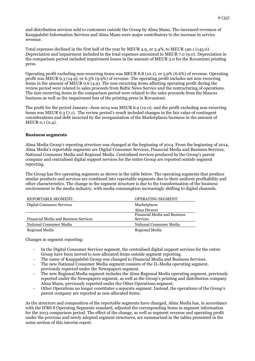and distribution services sold to customers outside the Group by Alma Manu. The increased revenues of Kauppalehti Information Services and Alma Manu were major contributors to the increase in service revenue.

Total expenses declined in the first half of the year by MEUR 4.9, or 3.4%, to MEUR 140.1 (145.0). Depreciation and impairment included in the total expenses amounted to MEUR 7.0 (9.0). Depreciation in the comparison period included impairment losses in the amount of MEUR 3.0 for the Rovaniemi printing press.

Operating profit excluding non-recurring items was MEUR 8.8 (10.1), or 5.9% (6.6%) of revenue. Operating profit was MEUR 9.3 (14.9), or 6.3% (9.9%) of revenue. The operating profit includes net non-recurring items in the amount of MEUR 0.6 (4.9). The non-recurring items affecting operating profit during the review period were related to sales proceeds from Baltic News Service and the restructuring of operations. The non-recurring items in the comparison period were related to the sales proceeds from the Mascus business as well as the impairment loss of the printing press in Rovaniemi.

The profit for the period January–June 2014 was MEUR 6.9 (12.0), and the profit excluding non-recurring items was MEUR 6.3 (7.1). The review period's result included changes in the fair value of contingent considerations and debt incurred by the reorganisation of the Marketplaces business in the amount of MEUR 0.1 (0.4).

## **Business segments**

Alma Media Group's reporting structure was changed at the beginning of 2014. From the beginning of 2014, Alma Media's reportable segments are Digital Consumer Services, Financial Media and Business Services, National Consumer Media and Regional Media. Centralised services produced by the Group's parent company and centralised digital support services for the entire Group are reported outside segment reporting.

The Group has five operating segments as shown in the table below. The operating segments that produce similar products and services are combined into reportable segments due to their uniform profitability and other characteristics. The change in the segment structure is due to the transformation of the business environment in the media industry, with media consumption increasingly shifting to digital channels.

| REPORTABLE SEGMENT:                   | <b>OPERATING SEGMENT:</b>           |
|---------------------------------------|-------------------------------------|
| Digital Consumer Services             | Marketplaces                        |
|                                       | Alma Diverso                        |
|                                       | <b>Financial Media and Business</b> |
| Financial Media and Business Services | <b>Services</b>                     |
| National Consumer Media               | National Consumer Media             |
| Regional Media                        | Regional Media                      |

Changes in segment reporting:

- In the Digital Consumer Services segment, the centralised digital support services for the entire Group have been moved to non-allocated items outside segment reporting.
- The name of Kauppalehti Group was changed to Financial Media and Business Services.
- The new National Consumer Media segment consists of the IL-Media operating segment,
- previously reported under the Newspapers segment.
- The new Regional Media segment includes the Alma Regional Media operating segment, previously reported under the Newspapers segment, as well as the Group's printing and distribution company Alma Manu, previously reported under the Other Operations segment.
- Other Operations no longer constitutes a separate segment. Instead, the operations of the Group's parent company are reported as non-allocated items.

As the structure and composition of the reportable segments have changed, Alma Media has, in accordance with the IFRS 8 Operating Segments standard, adjusted the corresponding items in segment information for the 2013 comparison period. The effect of the change, as well as segment revenue and operating profit under the previous and newly adopted segment structures, are summarised in the tables presented in the notes section of this interim report.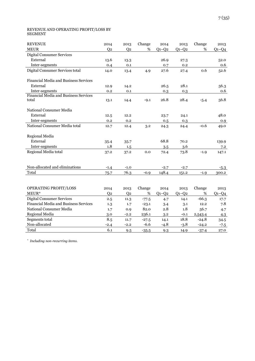#### REVENUE AND OPERATING PROFIT/LOSS BY SEGMENT

| <b>REVENUE</b>                        | 2014           | 2013           | Change  | 2014    | 2013    | Change  | 2013    |
|---------------------------------------|----------------|----------------|---------|---------|---------|---------|---------|
| <b>MEUR</b>                           | Q <sub>2</sub> | Q <sub>2</sub> | $\%$    | $Q1-Q2$ | $Q1-Q2$ | %       | $Q1-Q4$ |
| <b>Digital Consumer Services</b>      |                |                |         |         |         |         |         |
| External                              | 13.6           | 13.3           |         | 26.9    | 27.3    |         | 52.0    |
| Inter-segments                        | 0.4            | 0.1            |         | 0.7     | 0.2     |         | 0.6     |
| Digital Consumer Services total       | 14.0           | 13.4           | 4.9     | 27.6    | 27.4    | 0.6     | 52.6    |
| Financial Media and Business Services |                |                |         |         |         |         |         |
| External                              | 12.9           | 14.2           |         | 26.5    | 28.1    |         | 56.3    |
| Inter-segments                        | 0.2            | 0.1            |         | 0.3     | 0.3     |         | 0.6     |
| Financial Media and Business Services |                |                |         |         |         |         |         |
| total                                 | 13.1           | 14.4           | $-9.1$  | 26.8    | 28.4    | $-5.4$  | 56.8    |
| National Consumer Media               |                |                |         |         |         |         |         |
| External                              | 12.5           | 12.2           |         | 23.7    | 24.1    |         | 48.0    |
| Inter-segments                        | 0.2            | 0.2            |         | 0.5     | 0.3     |         | 0.9     |
| National Consumer Media total         | 12.7           | 12.4           | 3.2     | 24.3    | 24.4    | $-0.6$  | 49.0    |
| Regional Media                        |                |                |         |         |         |         |         |
| External                              | 35.4           | 35.7           |         | 68.8    | 70.2    |         | 139.9   |
| Inter-segments                        | 1.8            | 1.5            |         | 3.5     | 3.6     |         | 7.2     |
| Regional Media total                  | 37.2           | 37.2           | 0.0     | 72.4    | 73.8    | $-1.9$  | 147.1   |
|                                       |                |                |         |         |         |         |         |
| Non-allocated and eliminations        | $-1.4$         | $-1.0$         |         | $-2.7$  | $-2.7$  |         | $-5.3$  |
| Total                                 | 75.7           | 76.3           | $-0.9$  | 148.4   | 151.2   | $-1.9$  | 300.2   |
|                                       |                |                |         |         |         |         |         |
| OPERATING PROFIT/LOSS                 | 2014           | 2013           | Change  | 2014    | 2013    | Change  | 2013    |
| MEUR*                                 | Q <sub>2</sub> | Q <sub>2</sub> | $\%$    | $Q1-Q2$ | $Q1-Q2$ | %       | $Q1-Q4$ |
| <b>Digital Consumer Services</b>      | 2.5            | 11.3           | $-77.5$ | 4.7     | 14.1    | $-66.3$ | 17.7    |
| Financial Media and Business Services | 1.3            | 1.7            | $-23.1$ | 3.4     | 3.1     | 12.2    | 7.8     |
| National Consumer Media               | 1.7            | 0.9            | 82.0    | 2.8     | 1.8     | 56.7    | 4.7     |
| Regional Media                        | 3.0            | $-2.2$         | 236.1   | 3.2     | $-0.1$  | 2,543.4 | 4.3     |
| Segments total                        | 8.5            | 11.7           | $-27.5$ | 14.1    | 18.8    | $-24.8$ | 34.5    |
| Non-allocated                         | $-2.4$         | $-2.2$         | $-6.6$  | $-4.8$  | $-3.8$  | $-24.2$ | $-7.5$  |
| Total                                 | 6.1            | 9.5            | $-35.5$ | 9.3     | 14.9    | $-37.4$ | 27.0    |

*\* Including non-recurring items.*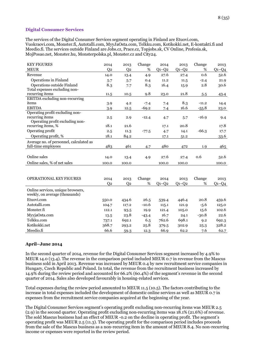## **Digital Consumer Services**

The services of the Digital Consumer Services segment operating in Finland are Etuovi.com, Vuokraovi.com, Monster.fi, Autotalli.com, MyyJaOsta.com, Telkku.com, Kotikokki.net, E-kontakti.fi and Meedio.fi. The services outside Finland are Jobs.cz, Prace.cz, Topjobs.sk, CV Online, Profesia.sk, MojPosao.net, Monster.hu, Monsterpolska.pl, Monster.cz and City24.

| <b>KEY FIGURES</b>                      | 2014           | 2013           | Change  | 2014      | 2013    | Change  | 2013    |
|-----------------------------------------|----------------|----------------|---------|-----------|---------|---------|---------|
| <b>MEUR</b>                             | Q <sub>2</sub> | Q <sub>2</sub> | $\%$    | $Q1-Q2$   | $Q1-Q2$ | %       | $Q1-Q4$ |
| Revenue                                 | 14.0           | 13.4           | 4.9     | 27.6      | 27.4    | 0.6     | 52.6    |
| Operations in Finland                   | 5.7            | 5.7            | 0.4     | 11.2      | 11.5    | $-2.4$  | 21.9    |
| Operations outside Finland              | 8.3            | 7.7            | 8.3     | 16.4      | 15.9    | 2.8     | 30.6    |
| Total expenses excluding non-           |                |                |         |           |         |         |         |
| recurring items                         | 11.5           | 10.5           | 9.8     | 23.0      | 21.8    | 5.5     | 43.4    |
| <b>EBITDA</b> excluding non-recurring   |                |                |         |           |         |         |         |
| items                                   | 3.9            | 4.2            | $-7.4$  | 7.4       | 8.3     | $-11.2$ | 14.4    |
| <b>EBITDA</b>                           | 3.9            | 12.5           | $-69.2$ | 7.4       | 16.6    | $-55.8$ | 23.0    |
| Operating profit excluding non-         |                |                |         |           |         |         |         |
| recurring items                         | 2.5            | 2.9            | $-12.4$ | 4.7       | 5.7     | $-16.9$ | 9.4     |
| Operating profit excluding non-         |                |                |         |           |         |         |         |
| recurring items, %                      | 18.1           | 21.6           |         | 17.1      | 20.8    |         | 17.8    |
| Operating profit                        | 2.5            | 11.3           | $-77.5$ | 4.7       | 14.1    | $-66.3$ | 17.7    |
| Operating profit, %                     | 18.1           | 84.2           |         | 17.1      | 51.2    |         | 33.6    |
| Average no. of personnel, calculated as |                |                |         |           |         |         |         |
| full-time employees                     | 483            | 461            | 4.7     | 480       | 472     | 1.9     | 465     |
|                                         |                |                |         |           |         |         |         |
| Online sales                            | 14.0           | 13.4           | 4.9     | 27.6      | 27.4    | 0.6     | 52.6    |
| Online sales, % of net sales            | 100.0          | 100.0          |         | 100.0     | 100.0   |         | 100.0   |
|                                         |                |                |         |           |         |         |         |
|                                         |                |                |         |           |         |         |         |
| OPERATIONAL KEY FIGURES                 | 2014           | 2013           | Change  | 2014      | 2013    | Change  | 2013    |
|                                         | Q <sub>2</sub> | Q <sub>2</sub> | %       | $Q_1-Q_2$ | $Q1-Q2$ | %       | $Q1-Q4$ |
| Online services, unique browsers,       |                |                |         |           |         |         |         |
| weekly, on average (thousands)          |                |                |         |           |         |         |         |
| Etuovi.com                              | 550.0          | 434.6          | 26.5    | 539.4     | 446.4   | 20.8    | 459.6   |
| Autotalli.com                           | 104.7          | 117.2          | $-10.6$ | 115.1     | 121.9   | $-5.6$  | 125.0   |
| Monster.fi                              | 112.1          | 93.5           | 19.9    | 121.4     | 105.0   | 15.6    | 102.6   |
| MyyjaOsta.com                           | 13.5           | 23.8           | $-43.4$ | 16.7      | 24.1    | $-30.8$ | 22.6    |
| Telkku.com                              |                |                |         | 762.6     | 698.1   |         |         |
|                                         | 737.1          | 692.1          | 6.5     |           |         | 9.2     | 692.3   |
| Kotikokki.net                           | 368.7          | 293.2          | 25.8    | 379.5     | 302.9   | 25.3    | 328.2   |
| Meedio.fi                               | 66.6           | 59.3           | 12.3    | 66.9      | 62.2    | 7.6     | 62.7    |

## **April–June 2014**

In the second quarter of 2014, revenue for the Digital Consumer Services segment increased by 4.9% to MEUR 14.0 (13.4). The revenue in the comparison period included MEUR 0.7 in revenue from the Mascus business sold in April 2013. Revenue was increased by MEUR 0.4 by new recruitment service companies in Hungary, Czech Republic and Poland. In total, the revenue from the recruitment business increased by 14.9% during the review period and accounted for 66.2% (60.4%) of the segment's revenue in the second quarter of 2014. Sales also developed favourably in housing-related services.

Total expenses during the review period amounted to MEUR 11.5 (10.5). The factors contributing to the increase in total expenses included the development of domestic online services as well as MEUR 0.7 in expenses from the recruitment service companies acquired at the beginning of the year.

The Digital Consumer Services segment's operating profit excluding non-recurring items was MEUR 2.5 (2.9) in the second quarter. Operating profit excluding non-recurring items was 18.1% (21.6%) of revenue. The sold Mascus business had an effect of MEUR -0.2 on the decline in operating profit. The segment's operating profit was MEUR 2.5 (11.3). The operating profit for the comparison period includes proceeds from the sale of the Mascus business as a non-recurring item in the amount of MEUR 8.4. No non-recurring income or expenses were reported in the review period.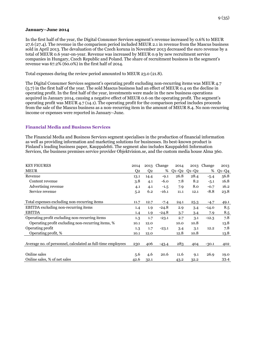#### **January–June 2014**

In the first half of the year, the Digital Consumer Services segment's revenue increased by 0.6% to MEUR 27.6 (27.4). The revenue in the comparison period included MEUR 2.1 in revenue from the Mascus business sold in April 2013. The devaluation of the Czech koruna in November 2013 decreased the euro revenue by a total of MEUR 0.6 year-on-year. Revenue was increased by MEUR 0.9 by new recruitment service companies in Hungary, Czech Republic and Poland. The share of recruitment business in the segment's revenue was 67.2% (60.0%) in the first half of 2014.

Total expenses during the review period amounted to MEUR 23.0 (21.8).

The Digital Consumer Services segment's operating profit excluding non-recurring items was MEUR 4.7 (5.7) in the first half of the year. The sold Mascus business had an effect of MEUR 0.4 on the decline in operating profit. In the first half of the year, investments were made in the new business operations acquired in January 2014, causing a negative effect of MEUR 0.6 on the operating profit. The segment's operating profit was MEUR 4.7 (14.1). The operating profit for the comparison period includes proceeds from the sale of the Mascus business as a non-recurring item in the amount of MEUR 8.4. No non-recurring income or expenses were reported in January–June.

## **Financial Media and Business Services**

The Financial Media and Business Services segment specialises in the production of financial information as well as providing information and marketing solutions for businesses. Its best-known product is Finland's leading business paper, Kauppalehti. The segment also includes Kauppalehti Information Services, the business premises service provider Objektvision.se, and the custom media house Alma 360.

| <b>KEY FIGURES</b>                                          | 2014           |                | 2013 Change | 2014    | 2013        | Change  | 2013    |
|-------------------------------------------------------------|----------------|----------------|-------------|---------|-------------|---------|---------|
| <b>MEUR</b>                                                 | Q <sub>2</sub> | Q <sub>2</sub> | %           | $Q1-Q2$ | $Q_1 - Q_2$ | %       | $Q1-Q4$ |
| Revenue                                                     | 13.1           | 14.4           | $-9.1$      | 26.8    | 28.4        | $-5.4$  | 56.8    |
| Content revenue                                             | 3.8            | 4.1            | $-6.0$      | 7.8     | 8.2         | $-5.1$  | 16.8    |
| Advertising revenue                                         | 4.1            | 4.1            | $-1.5$      | 7.9     | 8.0         | $-0.7$  | 16.2    |
| Service revenue                                             | 5.2            | 6.2            | $-16.1$     | 11.1    | 12.1        | $-8.8$  | 23.8    |
|                                                             |                |                |             |         |             |         |         |
| Total expenses excluding non-recurring items                | 11.7           | 12.7           | $-7.4$      | 24.1    | 25.3        | $-4.7$  | 49.1    |
| EBITDA excluding non-recurring items                        | $1.4\,$        | 1.9            | $-24.8$     | 2.9     | 3.4         | $-14.0$ | 8.5     |
| <b>EBITDA</b>                                               | $1.4\,$        | 1.9            | $-24.8$     | 3.7     | 3.4         | 7.9     | 8.5     |
| Operating profit excluding non-recurring items              | 1.3            | 1.7            | $-23.1$     | 2.7     | 3.1         | $-12.3$ | 7.8     |
| Operating profit excluding non-recurring items, %           | 10.1           | 12.0           |             | 10.0    | 10.8        |         | 13.8    |
| Operating profit                                            | 1.3            | 1.7            | $-23.1$     | 3.4     | 3.1         | 12.2    | 7.8     |
| Operating profit, %                                         | 10.1           | 12.0           |             | 12.8    | 10.8        |         | 13.8    |
|                                                             |                |                |             |         |             |         |         |
| Average no. of personnel, calculated as full-time employees | 230            | 406            | $-43.4$     | 283     | 404         | $-30.1$ | 402     |
|                                                             |                |                |             |         |             |         |         |
| Online sales                                                | 5.6            | 4.6            | 20.6        | 11.6    | 9.1         | 26.9    | 19.0    |
| Online sales, % of net sales                                | 42.6           | 32.1           |             | 43.2    | 32.2        |         | 33.4    |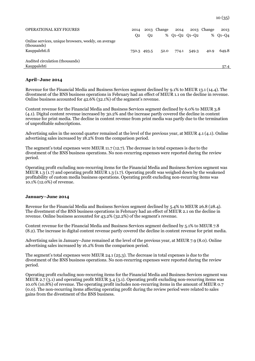| <b>OPERATIONAL KEY FIGURES</b>                                      | 2014           |                | 2013 Change | 2014            |       | 2013 Change | 2013          |
|---------------------------------------------------------------------|----------------|----------------|-------------|-----------------|-------|-------------|---------------|
|                                                                     | O <sub>2</sub> | O <sub>2</sub> |             | $%$ 01-02 01-02 |       |             | % $Q_1 - Q_4$ |
| Online services, unique browsers, weekly, on average<br>(thousands) |                |                |             |                 |       |             |               |
| Kauppalehti.fi                                                      |                | 750.3 493.5    | 52.0        | 774.1           | 549.3 | 40.9        | 649.8         |
| Audited circulation (thousands)                                     |                |                |             |                 |       |             |               |
| Kauppalehti                                                         |                |                |             |                 |       |             | 57.4          |
|                                                                     |                |                |             |                 |       |             |               |

#### **April–June 2014**

Revenue for the Financial Media and Business Services segment declined by 9.1% to MEUR 13.1 (14.4). The divestment of the BNS business operations in February had an effect of MEUR 1.1 on the decline in revenue. Online business accounted for 42.6% (32.1%) of the segment's revenue.

Content revenue for the Financial Media and Business Services segment declined by 6.0% to MEUR 3.8 (4.1). Digital content revenue increased by 30.2% and the increase partly covered the decline in content revenue for print media. The decline in content revenue from print media was partly due to the termination of unprofitable subscriptions.

Advertising sales in the second quarter remained at the level of the previous year, at MEUR 4.1 (4.1). Online advertising sales increased by 18.2% from the comparison period.

The segment's total expenses were MEUR 11.7 (12.7). The decrease in total expenses is due to the divestment of the BNS business operations. No non-recurring expenses were reported during the review period.

Operating profit excluding non-recurring items for the Financial Media and Business Services segment was MEUR 1.3 (1.7) and operating profit MEUR 1.3 (1.7). Operating profit was weighed down by the weakened profitability of custom media business operations. Operating profit excluding non-recurring items was 10.1% (12.0%) of revenue.

#### **January–June 2014**

Revenue for the Financial Media and Business Services segment declined by 5.4% to MEUR 26.8 (28.4). The divestment of the BNS business operations in February had an effect of MEUR 2.1 on the decline in revenue. Online business accounted for 43.2% (32.2%) of the segment's revenue.

Content revenue for the Financial Media and Business Services segment declined by 5.1% to MEUR 7.8 (8.2). The increase in digital content revenue partly covered the decline in content revenue for print media.

Advertising sales in January–June remained at the level of the previous year, at MEUR 7.9 (8.0). Online advertising sales increased by 16.2% from the comparison period.

The segment's total expenses were MEUR 24.1 (25.3). The decrease in total expenses is due to the divestment of the BNS business operations. No non-recurring expenses were reported during the review period.

Operating profit excluding non-recurring items for the Financial Media and Business Services segment was MEUR 2.7 (3.1) and operating profit MEUR 3.4 (3.1). Operating profit excluding non-recurring items was 10.0% (10.8%) of revenue. The operating profit includes non-recurring items in the amount of MEUR 0.7 (0.0). The non-recurring items affecting operating profit during the review period were related to sales gains from the divestment of the BNS business.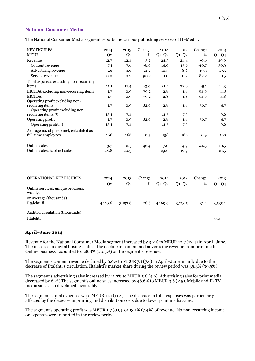## **National Consumer Media**

The National Consumer Media segment reports the various publishing services of IL-Media.

| <b>KEY FIGURES</b>                                    | 2014           | 2013           | Change  | 2014        | 2013        | Change  | 2013    |
|-------------------------------------------------------|----------------|----------------|---------|-------------|-------------|---------|---------|
| <b>MEUR</b>                                           | Q <sub>2</sub> | Q <sub>2</sub> | $\%$    | $Q1-Q2$     | $Q1-Q2$     | %       | $Q1-Q4$ |
| Revenue                                               | 12.7           | 12.4           | 3.2     | 24.3        | 24.4        | $-0.6$  | 49.0    |
| Content revenue                                       | 7.1            | 7.6            | $-6.0$  | 14.0        | 15.6        | $-10.7$ | 30.9    |
| Advertising revenue                                   | 5.6            | 4.6            | 21.2    | 10.3        | 8.6         | 19.3    | 17.5    |
| Service revenue                                       | 0.0            | 0.2            | $-90.7$ | 0.0         | 0.2         | $-82.2$ | 0.5     |
| Total expenses excluding non-recurring                |                |                |         |             |             |         |         |
| items                                                 | 11.1           | 11.4           | $-3.0$  | 21.4        | 22.6        | $-5.1$  | 44.3    |
| EBITDA excluding non-recurring items                  | 1.7            | 0.9            | 79.2    | 2.8         | 1.8         | 54.0    | 4.8     |
| <b>EBITDA</b>                                         | 1.7            | 0.9            | 79.2    | 2.8         | 1.8         | 54.0    | 4.8     |
| Operating profit excluding non-                       |                |                |         |             |             |         |         |
| recurring items                                       | 1.7            | 0.9            | 82.0    | 2.8         | 1.8         | 56.7    | 4.7     |
| Operating profit excluding non-<br>recurring items, % |                |                |         |             |             |         | 9.6     |
| Operating profit                                      | 13.1           | 7.4            | 82.0    | 11.5<br>2.8 | 7.3<br>1.8  | 56.7    |         |
| Operating profit, %                                   | 1.7            | 0.9            |         |             |             |         | 4.7     |
|                                                       | 13.1           | 7.4            |         | 11.5        | 7.3         |         | 9.6     |
| Average no. of personnel, calculated as               |                |                |         |             |             |         |         |
| full-time employees                                   | 166            | 166            | $-0.3$  | 158         | 160         | $-0.9$  | 160     |
|                                                       |                |                |         |             |             |         |         |
| Online sales                                          | 3.7            | 2.5            | 46.4    | 7.0         | 4.9         | 44.5    | 10.5    |
| Online sales, % of net sales                          | 28.8           | 20.3           |         | 29.0        | 19.9        |         | 21.5    |
|                                                       |                |                |         |             |             |         |         |
|                                                       |                |                |         |             |             |         |         |
| OPERATIONAL KEY FIGURES                               | 2014           | 2013           | Change  | 2014        | 2013        | Change  | 2013    |
|                                                       | Q <sub>2</sub> | Q <sub>2</sub> | $\%$    | $Q1-Q2$     | $Q_1 - Q_2$ | %       | $Q1-Q4$ |
| Online services, unique browsers,<br>weekly,          |                |                |         |             |             |         |         |
| on average (thousands)                                |                |                |         |             |             |         |         |
| Iltalehti.fi                                          | 4,110.6        | 3,197.6        | 28.6    | 4,169.6     | 3,173.5     | 31.4    | 3,530.1 |
| Audited circulation (thousands)                       |                |                |         |             |             |         |         |
| Iltalehti                                             |                |                |         |             |             |         | 77.3    |

## **April–June 2014**

Revenue for the National Consumer Media segment increased by 3.2% to MEUR 12.7 (12.4) in April–June. The increase in digital business offset the decline in content and advertising revenue from print media. Online business accounted for 28.8% (20.3%) of the segment's revenue.

The segment's content revenue declined by 6.0% to MEUR 7.1 (7.6) in April–June, mainly due to the decrease of Iltalehti's circulation. Iltalehti's market share during the review period was 39.3% (39.9%).

The segment's advertising sales increased by 21.2% to MEUR 5.6 (4.6). Advertising sales for print media decreased by 6.2% The segment's online sales increased by 46.6% to MEUR 3.6 (2.5). Mobile and IL-TV media sales also developed favourably.

The segment's total expenses were MEUR 11.1 (11.4). The decrease in total expenses was particularly affected by the decrease in printing and distribution costs due to lower print media sales.

The segment's operating profit was MEUR 1.7 (0.9), or 13.1% (7.4%) of revenue. No non-recurring income or expenses were reported in the review period.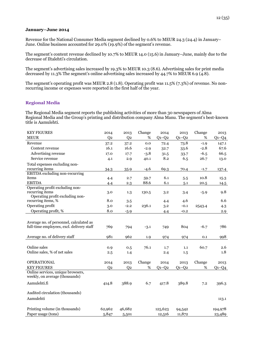#### **January–June 2014**

Revenue for the National Consumer Media segment declined by 0.6% to MEUR 24.3 (24.4) in January– June. Online business accounted for 29.0% (19.9%) of the segment's revenue.

The segment's content revenue declined by 10.7% to MEUR 14.0 (15.6) in January–June, mainly due to the decrease of Iltalehti's circulation.

The segment's advertising sales increased by 19.3% to MEUR 10.3 (8.6). Advertising sales for print media decreased by 11.3% The segment's online advertising sales increased by 44.7% to MEUR 6.9 (4.8).

The segment's operating profit was MEUR 2.8 (1.8). Operating profit was 11.5% (7.3%) of revenue. No nonrecurring income or expenses were reported in the first half of the year.

#### **Regional Media**

The Regional Media segment reports the publishing activities of more than 30 newspapers of Alma Regional Media and the Group's printing and distribution company Alma Manu. The segment's best-known title is Aamulehti.

| <b>KEY FIGURES</b>                                                                   | 2014           | 2013           | Change | 2014    | 2013    | Change | 2013    |
|--------------------------------------------------------------------------------------|----------------|----------------|--------|---------|---------|--------|---------|
| <b>MEUR</b>                                                                          | Q <sub>2</sub> | Q <sub>2</sub> | $\%$   | $Q1-Q2$ | $Q1-Q2$ | %      | $Q1-Q4$ |
| Revenue                                                                              | 37.2           | 37.2           | 0.0    | 72.4    | 73.8    | $-1.9$ | 147.1   |
| Content revenue                                                                      | 16.1           | 16.6           | $-2.9$ | 32.7    | 33.6    | $-2.8$ | 67.6    |
| Advertising revenue                                                                  | 17.0           | 17.7           | $-3.8$ | 31.5    | 33.7    | $-6.5$ | 66.5    |
| Service revenue                                                                      | 4.1            | 2.9            | 40.1   | 8.2     | 6.5     | 26.7   | 13.0    |
| Total expenses excluding non-                                                        |                |                |        |         |         |        |         |
| recurring items                                                                      | 34.3           | 35.9           | $-4.6$ | 69.3    | 70.4    | $-1.7$ | 137.4   |
| <b>EBITDA</b> excluding non-recurring                                                |                |                |        |         |         |        |         |
| items                                                                                | 4.4            | 2.7            | 59.7   | 6.1     | 5.5     | 10.8   | 15.3    |
| <b>EBITDA</b>                                                                        | 4.4            | 2.3            | 88.6   | 6.1     | 5.1     | 20.5   | 14.5    |
| Operating profit excluding non-                                                      |                |                |        |         |         |        |         |
| recurring items                                                                      | 3.0            | 1.3            | 130.5  | 3.2     | 3.4     | $-5.9$ | 9.8     |
| Operating profit excluding non-                                                      |                |                |        |         |         |        |         |
| recurring items, %                                                                   | 8.0            | 3.5            |        | 4.4     | 4.6     |        | 6.6     |
| Operating profit                                                                     | 3.0            | $-2.2$         | 236.1  | 3.2     | $-0.1$  | 2543.4 | 4.3     |
| Operating profit, %                                                                  | 8.0            | $-5.9$         |        | 4.4     | $-0.2$  |        | 2.9     |
| Average no. of personnel, calculated as<br>full-time employees, excl. delivery staff | 769            | 794            | $-3.1$ | 749     | 804     | $-6.7$ | 786     |
| Average no. of delivery staff                                                        | 981            | 962            | 1.9    | 974     | 974     | 0.1    | 998     |
| Online sales                                                                         |                |                | 76.1   |         |         |        |         |
| Online sales, % of net sales                                                         | 0.9            | 0.5            |        | 1.7     | 1.1     | 60.7   | 2.6     |
|                                                                                      | 2.5            | 1.4            |        | 2.4     | 1.5     |        | 1.8     |
| <b>OPERATIONAL</b>                                                                   | 2014           | 2013           | Change | 2014    | 2013    | Change | 2013    |
| <b>KEY FIGURES</b>                                                                   | Q <sub>2</sub> | Q <sub>2</sub> | $\%$   | $Q1-Q2$ | $Q1-Q2$ | %      | $Q1-Q4$ |
| Online services, unique browsers,<br>weekly, on average (thousands)                  |                |                |        |         |         |        |         |
| Aamulehti.fi                                                                         | 414.8          | 388.9          | 6.7    | 417.8   | 389.8   | 7.2    | 396.3   |
| Audited circulation (thousands)                                                      |                |                |        |         |         |        |         |
| Aamulehti                                                                            |                |                |        |         |         |        | 113.1   |
| Printing volume (in thousands)                                                       | 62,962         | 46,682         |        | 125,623 | 94,542  |        | 194,978 |
| Paper usage (tons)                                                                   | 5,847          | 5,501          |        | 12,516  | 11,872  |        | 23,489  |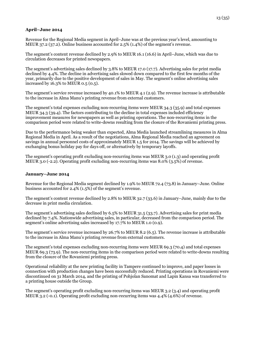## **April–June 2014**

Revenue for the Regional Media segment in April–June was at the previous year's level, amounting to MEUR 37.2 (37.2). Online business accounted for 2.5% (1.4%) of the segment's revenue.

The segment's content revenue declined by 2.9% to MEUR 16.1 (16.6) in April–June, which was due to circulation decreases for printed newspapers.

The segment's advertising sales declined by 3.8% to MEUR 17.0 (17.7). Advertising sales for print media declined by 4.4%. The decline in advertising sales slowed down compared to the first few months of the year, primarily due to the positive development of sales in May. The segment's online advertising sales increased by 16.3% to MEUR 0.5 (0.5).

The segment's service revenue increased by 40.1% to MEUR 4.1 (2.9). The revenue increase is attributable to the increase in Alma Manu's printing revenue from external customers.

The segment's total expenses excluding non-recurring items were MEUR 34.3 (35.9) and total expenses MEUR 34.3 (39.4). The factors contributing to the decline in total expenses included efficiency improvement measures for newspapers as well as printing operations. The non-recurring items in the comparison period were related to write-downs resulting from the closure of the Rovaniemi printing press.

Due to the performance being weaker than expected, Alma Media launched streamlining measures in Alma Regional Media in April. As a result of the negotiations, Alma Regional Media reached an agreement on savings in annual personnel costs of approximately MEUR 1.5 for 2014. The savings will be achieved by exchanging bonus holiday pay for days off, or alternatively by temporary layoffs.

The segment's operating profit excluding non-recurring items was MEUR 3.0 (1.3) and operating profit MEUR 3.0 (-2.2). Operating profit excluding non-recurring items was 8.0% (3.5%) of revenue.

## **January–June 2014**

Revenue for the Regional Media segment declined by 1.9% to MEUR 72.4 (73.8) in January–June. Online business accounted for 2.4% (1.5%) of the segment's revenue.

The segment's content revenue declined by 2.8% to MEUR 32.7 (33.6) in January–June, mainly due to the decrease in print media circulation.

The segment's advertising sales declined by 6.5% to MEUR 31.5 (33.7). Advertising sales for print media declined by 7.4%. Nationwide advertising sales, in particular, decreased from the comparison period. The segment's online advertising sales increased by 17.7% to MEUR 1.0 (0.9).

The segment's service revenue increased by 26.7% to MEUR 8.2 (6.5). The revenue increase is attributable to the increase in Alma Manu's printing revenue from external customers.

The segment's total expenses excluding non-recurring items were MEUR 69.3 (70.4) and total expenses MEUR 69.3 (73.9). The non-recurring items in the comparison period were related to write-downs resulting from the closure of the Rovaniemi printing press.

Operational reliability at the new printing facility in Tampere continued to improve, and paper losses in connection with production changes have been successfully reduced. Printing operations in Rovaniemi were discontinued on 31 March 2014, and the printing of Pohjolan Sanomat and Lapin Kansa was transferred to a printing house outside the Group.

The segment's operating profit excluding non-recurring items was MEUR 3.2 (3.4) and operating profit MEUR 3.2 (-0.1). Operating profit excluding non-recurring items was 4.4% (4.6%) of revenue.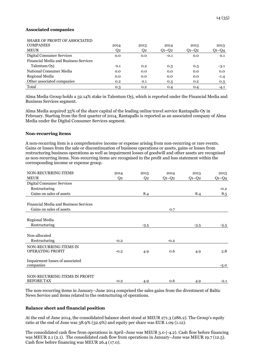#### **Associated companies**

| <b>SHARE OF PROFIT OF ASSOCIATED</b>         |      |      |             |             |         |
|----------------------------------------------|------|------|-------------|-------------|---------|
| <b>COMPANIES</b>                             | 2014 | 2013 | 2014        | 2013        | 2013    |
| <b>MEUR</b>                                  | Q2   | Q2   | $Q_1 - Q_2$ | $Q_1 - Q_2$ | $Q1-Q4$ |
| Digital Consumer Services                    | 0.0  | 0.0  | $-0.1$      | 0.0         | 0.1     |
| <b>Financial Media and Business Services</b> |      |      |             |             |         |
| Talentum Ovi                                 | 0.1  | 0.2  | 0.3         | 0.3         | $-3.1$  |
| National Consumer Media                      | 0.0  | 0.0  | 0.0         | 0.0         | 0.0     |
| Regional Media                               | 0.0  | 0.0  | 0.0         | 0.0         | $-1.4$  |
| Other associated companies                   | 0.2  | 0.1  | 0.3         | 0.2         | 0.3     |
| Total                                        | 0.3  | 0.2  | 0.4         | 0.4         | $-4.1$  |

Alma Media Group holds a 32.14% stake in Talentum Oyj, which is reported under the Financial Media and Business Services segment.

Alma Media acquired 35% of the share capital of the leading online travel service Rantapallo Oy in February. Starting from the first quarter of 2014, Rantapallo is reported as an associated company of Alma Media under the Digital Consumer Services segment.

#### **Non-recurring items**

A non-recurring item is a comprehensive income or expense arising from non-recurring or rare events. Gains or losses from the sale or discontinuation of business operations or assets, gains or losses from restructuring business operations as well as impairment losses of goodwill and other assets are recognised as non-recurring items. Non-recurring items are recognised in the profit and loss statement within the corresponding income or expense group.

| NON-RECURRING ITEMS                          | 2014           | 2013           | 2014    | 2013        | 2013    |
|----------------------------------------------|----------------|----------------|---------|-------------|---------|
| <b>MEUR</b>                                  | Q <sub>2</sub> | Q <sub>2</sub> | $Q1-Q2$ | $Q_1 - Q_2$ | $Q1-Q4$ |
| <b>Digital Consumer Services</b>             |                |                |         |             |         |
| Restructuring                                |                |                |         |             | $-0.2$  |
| Gains on sales of assets                     |                | 8.4            |         | 8.4         | 8.5     |
|                                              |                |                |         |             |         |
| <b>Financial Media and Business Services</b> |                |                |         |             |         |
| Gains on sales of assets                     |                |                | 0.7     |             |         |
|                                              |                |                |         |             |         |
| Regional Media                               |                |                |         |             |         |
| Restructuring                                |                | $-3.5$         |         | $-3.5$      | $-5.5$  |
|                                              |                |                |         |             |         |
| Non-allocated                                |                |                |         |             |         |
| Restructuring                                | $-0.2$         |                | $-0.2$  |             |         |
| NON-RECURRING ITEMS IN                       |                |                |         |             |         |
| OPERATING PROFIT                             | $-0.2$         | 4.9            | 0.6     | 4.9         | 2.8     |
|                                              |                |                |         |             |         |
| Impairment losses of associated              |                |                |         |             |         |
| companies                                    |                |                |         |             | $-5.0$  |
|                                              |                |                |         |             |         |
| NON-RECURRING ITEMS IN PROFIT                |                |                |         |             |         |
| <b>BEFORE TAX</b>                            | $-0.2$         | 4.9            | 0.6     | 4.9         | $-2.1$  |

The non-recurring items in January–June 2014 comprised the sales gains from the divestment of Baltic News Service and items related to the restructuring of operations.

#### **Balance sheet and financial position**

At the end of June 2014, the consolidated balance sheet stood at MEUR 271.3 (286.2). The Group's equity ratio at the end of June was 38.9% (32.9%) and equity per share was EUR 1.09 (1.12).

The consolidated cash flow from operations in April–June was MEUR 3.0 (-4.2). Cash flow before financing was MEUR 2.1 (2.1). The consolidated cash flow from operations in January–June was MEUR 19.7 (12.5). Cash flow before financing was MEUR 26.4 (17.0).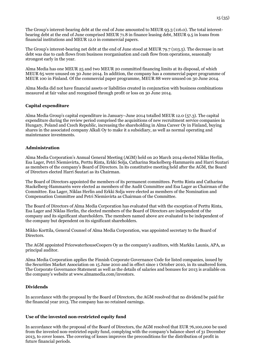The Group's interest-bearing debt at the end of June amounted to MEUR 93.3 (116.0). The total interestbearing debt at the end of June comprised MEUR 71.8 in finance leasing debt, MEUR 9.5 in loans from financial institutions and MEUR 12.0 in commercial papers.

The Group's interest-bearing net debt at the end of June stood at MEUR 79.7 (103.5). The decrease in net debt was due to cash flows from business reorganisation and cash flow from operations, seasonally strongest early in the year.

Alma Media has one MEUR 25 and two MEUR 20 committed financing limits at its disposal, of which MEUR 65 were unused on 30 June 2014. In addition, the company has a commercial paper programme of MEUR 100 in Finland. Of the commercial paper programme, MEUR 88 were unused on 30 June 2014.

Alma Media did not have financial assets or liabilities created in conjunction with business combinations measured at fair value and recognised through profit or loss on 30 June 2014.

## **Capital expenditure**

Alma Media Group's capital expenditure in January–June 2014 totalled MEUR 12.0 (57.3). The capital expenditure during the review period comprised the acquisitions of new recruitment service companies in Hungary, Poland and Czech Republic, increasing the shareholding in Alma Career Oy in Finland, buying shares in the associated company Alkali Oy to make it a subsidiary, as well as normal operating and maintenance investments.

## **Administration**

Alma Media Corporation's Annual General Meeting (AGM) held on 20 March 2014 elected Niklas Herlin, Esa Lager, Petri Niemisvirta, Perttu Rinta, Erkki Solja, Catharina Stackelberg-Hammarén and Harri Suutari as members of the company's Board of Directors. In its constitutive meeting held after the AGM, the Board of Directors elected Harri Suutari as its Chairman.

The Board of Directors appointed the members of its permanent committees. Perttu Rinta and Catharina Stackelberg-Hammarén were elected as members of the Audit Committee and Esa Lager as Chairman of the Committee. Esa Lager, Niklas Herlin and Erkki Solja were elected as members of the Nomination and Compensation Committee and Petri Niemisvirta as Chairman of the Committee.

The Board of Directors of Alma Media Corporation has evaluated that with the exception of Perttu Rinta, Esa Lager and Niklas Herlin, the elected members of the Board of Directors are independent of the company and its significant shareholders. The members named above are evaluated to be independent of the company but dependent on its significant shareholders.

Mikko Korttila, General Counsel of Alma Media Corporation, was appointed secretary to the Board of Directors.

The AGM appointed PricewaterhouseCoopers Oy as the company's auditors, with Markku Launis, APA, as principal auditor.

Alma Media Corporation applies the Finnish Corporate Governance Code for listed companies, issued by the Securities Market Association on 15 June 2010 and in effect since 1 October 2010, in its unaltered form. The Corporate Governance Statement as well as the details of salaries and bonuses for 2013 is available on the company's website at www.almamedia.com/investors.

#### **Dividends**

In accordance with the proposal by the Board of Directors, the AGM resolved that no dividend be paid for the financial year 2013. The company has no retained earnings.

#### **Use of the invested non-restricted equity fund**

In accordance with the proposal of the Board of Directors, the AGM resolved that EUR 76,100,000 be used from the invested non-restricted equity fund, complying with the company's balance sheet of 31 December 2013, to cover losses. The covering of losses improves the preconditions for the distribution of profit in future financial periods.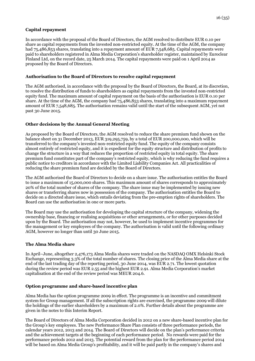## **Capital repayment**

In accordance with the proposal of the Board of Directors, the AGM resolved to distribute EUR 0.10 per share as capital repayments from the invested non-restricted equity. At the time of the AGM, the company had 75,486,853 shares, translating into a repayment amount of EUR 7,548,685. Capital repayments were paid to shareholders registered in Alma Media Corporation's shareholder register, maintained by Euroclear Finland Ltd, on the record date, 25 March 2014. The capital repayments were paid on 1 April 2014 as proposed by the Board of Directors.

## **Authorisation to the Board of Directors to resolve capital repayment**

The AGM authorised, in accordance with the proposal by the Board of Directors, the Board, at its discretion, to resolve the distribution of funds to shareholders as capital repayments from the invested non-restricted equity fund. The maximum amount of capital repayment on the basis of the authorisation is EUR 0.10 per share. At the time of the AGM, the company had 75,486,853 shares, translating into a maximum repayment amount of EUR 7,548,685. The authorisation remains valid until the start of the subsequent AGM, yet not past 30 June 2015.

## **Other decisions by the Annual General Meeting**

As proposed by the Board of Directors, the AGM resolved to reduce the share premium fund shown on the balance sheet on 31 December 2013, EUR 319,295,759, by a total of EUR 200,000,000, which will be transferred to the company's invested non-restricted equity fund. The equity of the company consists almost entirely of restricted equity, and it is expedient for the equity structure and distribution of profits to change the structure in a way that reduces the proportion of restricted equity in total equity. The share premium fund constitutes part of the company's restricted equity, which is why reducing the fund requires a public notice to creditors in accordance with the Limited Liability Companies Act. All practicalities of reducing the share premium fund are decided by the Board of Directors.

The AGM authorised the Board of Directors to decide on a share issue. The authorisation entitles the Board to issue a maximum of 15,000,000 shares. This maximum amount of shares corresponds to approximately 20% of the total number of shares of the company. The share issue may be implemented by issuing new shares or transferring shares now in possession of the company. The authorisation entitles the Board to decide on a directed share issue, which entails deviating from the pre-emption rights of shareholders. The Board can use the authorisation in one or more parts.

The Board may use the authorisation for developing the capital structure of the company, widening the ownership base, financing or realising acquisitions or other arrangements, or for other purposes decided upon by the Board. The authorisation may not, however, be used to implement incentive programmes for the management or key employees of the company. The authorisation is valid until the following ordinary AGM, however no longer than until 30 June 2015.

## **The Alma Media share**

In April–June, altogether 2,476,173 Alma Media shares were traded on the NASDAQ OMX Helsinki Stock Exchange, representing 3.3% of the total number of shares. The closing price of the Alma Media share at the end of the last trading day of the reporting period, 30 June 2014, was EUR 2.71. The lowest quotation during the review period was EUR 2.55 and the highest EUR 2.91. Alma Media Corporation's market capitalisation at the end of the review period was MEUR 204.6.

## **Option programme and share-based incentive plan**

Alma Media has the option programme 2009 in effect. The programme is an incentive and commitment system for Group management. If all the subscription rights are exercised, the programme 2009 will dilute the holdings of the earlier shareholders by a maximum of 2.0%. Further details about the programme are given in the notes to this Interim Report.

The Board of Directors of Alma Media Corporation decided in 2012 on a new share-based incentive plan for the Group's key employees. The new Performance Share Plan consists of three performance periods, the calendar years 2012, 2013 and 2014. The Board of Directors will decide on the plan's performance criteria and the achievement targets at the beginning of each performance period. No rewards were paid for the performance periods 2012 and 2013. The potential reward from the plan for the performance period 2014 will be based on Alma Media Group's profitability, and it will be paid partly in the company's shares and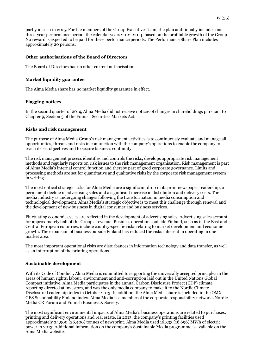partly in cash in 2015. For the members of the Group Executive Team, the plan additionally includes one three-year performance period, the calendar years 2012–2014, based on the profitable growth of the Group. No reward is expected to be paid for these performance periods. The Performance Share Plan includes approximately 20 persons.

## **Other authorisations of the Board of Directors**

The Board of Directors has no other current authorisations.

## **Market liquidity guarantee**

The Alma Media share has no market liquidity guarantee in effect.

## **Flagging notices**

In the second quarter of 2014, Alma Media did not receive notices of changes in shareholdings pursuant to Chapter 9, Section 5 of the Finnish Securities Markets Act.

#### **Risks and risk management**

The purpose of Alma Media Group's risk management activities is to continuously evaluate and manage all opportunities, threats and risks in conjunction with the company's operations to enable the company to reach its set objectives and to secure business continuity.

The risk management process identifies and controls the risks, develops appropriate risk management methods and regularly reports on risk issues to the risk management organisation. Risk management is part of Alma Media's internal control function and thereby part of good corporate governance. Limits and processing methods are set for quantitative and qualitative risks by the corporate risk management system in writing.

The most critical strategic risks for Alma Media are a significant drop in its print newspaper readership, a permanent decline in advertising sales and a significant increase in distribution and delivery costs. The media industry is undergoing changes following the transformation in media consumption and technological development. Alma Media's strategic objective is to meet this challenge through renewal and the development of new business in digital consumer and business services.

Fluctuating economic cycles are reflected in the development of advertising sales. Advertising sales account for approximately half of the Group's revenue. Business operations outside Finland, such as in the East and Central European countries, include country-specific risks relating to market development and economic growth. The expansion of business outside Finland has reduced the risks inherent in operating in one market area.

The most important operational risks are disturbances in information technology and data transfer, as well as an interruption of the printing operations.

#### **Sustainable development**

With its Code of Conduct, Alma Media is committed to supporting the universally accepted principles in the areas of human rights, labour, environment and anti-corruption laid out in the United Nations Global Compact initiative. Alma Media participates in the annual Carbon Disclosure Project (CDP) climate reporting directed at investors, and was the only media company to make it to the Nordic Climate Disclosure Leadership index in October 2013. In addition, the Alma Media share is included in the OMX GES Sustainability Finland index. Alma Media is a member of the corporate responsibility networks Nordic Media CR Forum and Finnish Business & Society.

The most significant environmental impacts of Alma Media's business operations are related to purchases, printing and delivery operations and real estate. In 2013, the company's printing facilities used approximately 24,900 (26,400) tonnes of newsprint. Alma Media used 16,333 (16,696) MWh of electric power in 2013. Additional information on the company's Sustainable Media programme is available on the Alma Media website.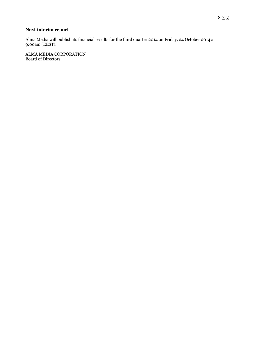# **Next interim report**

Alma Media will publish its financial results for the third quarter 2014 on Friday, 24 October 2014 at 9:00am (EEST).

ALMA MEDIA CORPORATION Board of Directors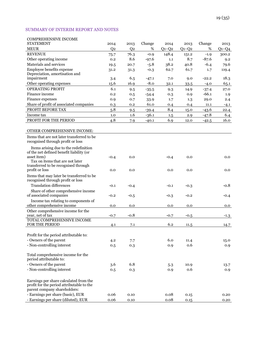## SUMMARY OF INTERIM REPORT AND NOTES

| <b>COMPREHENSIVE INCOME</b>                                                       |                |                |         |         |         |         |          |
|-----------------------------------------------------------------------------------|----------------|----------------|---------|---------|---------|---------|----------|
| <b>STATEMENT</b>                                                                  | 2014           | 2013           | Change  | 2014    | 2013    | Change  | 2013     |
| <b>MEUR</b>                                                                       | Q <sub>2</sub> | Q <sub>2</sub> | %       | $Q1-Q2$ | $Q1-Q2$ | %       | $Q1-Q4$  |
| <b>REVENUE</b>                                                                    | 75.7           | 76.3           | $-0.9$  | 148.4   | 151.2   | $-1.9$  | 300.2    |
| Other operating income                                                            | 0.2            | 8.6            | $-97.6$ | 1.1     | 8.7     | $-87.6$ | 9.2      |
| Materials and services                                                            | 19.5           | 20.7           | $-5.8$  | 38.2    | 40.8    | $-6.4$  | 79.6     |
| Employee benefits expense                                                         | 31.2           | 31.3           | $-0.3$  | 62.7    | 61.7    | 1.7     | 119.4    |
| Depreciation, amortisation and                                                    |                |                |         |         |         |         |          |
| impairment                                                                        | 3.4            | 6.5            | $-47.1$ | 7.0     | 9.0     | $-22.2$ | 18.3     |
| Other operating expenses                                                          | 15.6           | 16.9           | $-8.0$  | 32.1    | 33.5    | $-4.0$  | 65.1     |
| <b>OPERATING PROFIT</b>                                                           | 6.1            | 9.5            | $-35.5$ | 9.3     | 14.9    | $-37.4$ | 27.0     |
| Finance income                                                                    | 0.2            | 0.5            | $-54.4$ | 0.3     | 0.9     | $-66.1$ | 1.9      |
| Finance expenses                                                                  | 0.9            | 0.7            | 33.9    | 1.7     | 1.3     | 29.0    | 2.4      |
| Share of profit of associated companies                                           | 0.3            | 0.2            | 61.0    | 0.4     | 0.4     | 11.1    | $-4.1$   |
| PROFIT BEFORE TAX                                                                 | 5.8            | 9.5            | $-39.4$ | 8.4     | 15.0    | $-43.6$ | 22.4     |
| Income tax                                                                        | 1.0            | 1.6            | $-36.1$ | 1.5     | 2.9     | $-47.8$ | 6.4      |
| PROFIT FOR THE PERIOD                                                             | 4.8            | 7.9            | $-40.1$ | 6.9     | 12.0    | $-42.5$ | 16.0     |
|                                                                                   |                |                |         |         |         |         |          |
| OTHER COMPREHENSIVE INCOME:                                                       |                |                |         |         |         |         |          |
| Items that are not later transferred to be                                        |                |                |         |         |         |         |          |
| recognised through profit or loss                                                 |                |                |         |         |         |         |          |
|                                                                                   |                |                |         |         |         |         |          |
| Items arising due to the redefinition<br>of the net defined benefit liability (or |                |                |         |         |         |         |          |
| asset item)                                                                       | $-0.4$         | 0.0            |         | $-0.4$  | 0.0     |         | 0.0      |
| Tax on items that are not later                                                   |                |                |         |         |         |         |          |
| transferred to be recognised through                                              |                |                |         |         |         |         |          |
| profit or loss                                                                    | 0.0            | 0.0            |         | 0.0     | 0.0     |         | 0.0      |
| Items that may later be transferred to be                                         |                |                |         |         |         |         |          |
| recognised through profit or loss                                                 |                |                |         |         |         |         |          |
| <b>Translation differences</b>                                                    | $-0.1$         | $-0.4$         |         | $-0.1$  | $-0.3$  |         | $-0.8$   |
| Share of other comprehensive income                                               |                |                |         |         |         |         |          |
| of associated companies                                                           | $-0.2$         | $-0.5$         |         | $-0.3$  | $-0.2$  |         | $-0.4$   |
| Income tax relating to components of                                              |                |                |         |         |         |         |          |
| other comprehensive income                                                        | 0.0            | 0.0            |         | 0.0     | 0.0     |         | 0.0      |
| Other comprehensive income for the                                                |                |                |         |         |         |         |          |
| year, net of tax                                                                  | $-0.7$         | $-0.8$         |         | $-0.7$  | $-0.5$  |         | $-1.3$   |
| TOTAL COMPREHENSIVE INCOME                                                        |                |                |         |         |         |         |          |
| FOR THE PERIOD                                                                    | 4.1            | 7.1            |         | 6.2     | 11.5    |         | 14.7     |
|                                                                                   |                |                |         |         |         |         |          |
| Profit for the period attributable to:                                            |                |                |         |         |         |         |          |
| - Owners of the parent                                                            | 4.2            | 7.7            |         | 6.0     | 11.4    |         | 15.0     |
| - Non-controlling interest                                                        | 0.5            | 0.3            |         | 0.9     | 0.6     |         | 0.9      |
|                                                                                   |                |                |         |         |         |         |          |
| Total comprehensive income for the<br>period attributable to:                     |                |                |         |         |         |         |          |
| - Owners of the parent                                                            | 3.6            | 6.8            |         |         |         |         |          |
| - Non-controlling interest                                                        |                |                |         | 5.3     | 10.9    |         | 13.7     |
|                                                                                   | 0.5            | 0.3            |         | 0.9     | 0.6     |         | 0.9      |
|                                                                                   |                |                |         |         |         |         |          |
| Earnings per share calculated from the                                            |                |                |         |         |         |         |          |
| profit for the period attributable to the<br>parent company shareholders:         |                |                |         |         |         |         |          |
| - Earnings per share (basic), EUR                                                 | 0.06           | 0.10           |         | 0.08    | 0.15    |         | 0.20     |
| - Earnings per share (diluted), EUR                                               | 0.06           | 0.10           |         | 0.08    |         |         | $0.20\,$ |
|                                                                                   |                |                |         |         | 0.15    |         |          |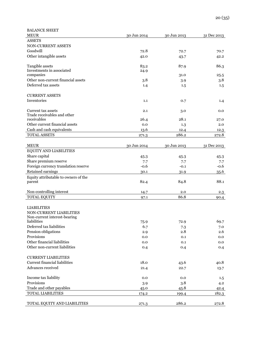| <b>BALANCE SHEET</b>                              |             |             |             |
|---------------------------------------------------|-------------|-------------|-------------|
| <b>MEUR</b>                                       | 30 Jun 2014 | 30 Jun 2013 | 31 Dec 2013 |
| <b>ASSETS</b>                                     |             |             |             |
| NON-CURRENT ASSETS                                |             |             |             |
| Goodwill                                          | 72.8        | 72.7        | 70.7        |
| Other intangible assets                           | 42.0        | 43.7        | 42.2        |
|                                                   |             |             |             |
| Tangible assets<br>Investments in associated      | 83.2        | 87.9        | 86.3        |
| companies                                         | 24.9        | 31.0        | 25.5        |
| Other non-current financial assets                | 3.8         | 3.9         | 3.8         |
| Deferred tax assets                               | 1.4         | 1.5         | 1.5         |
|                                                   |             |             |             |
| <b>CURRENT ASSETS</b>                             |             |             |             |
| Inventories                                       | 1.1         | 0.7         | 1.4         |
|                                                   |             |             |             |
| Current tax assets<br>Trade receivables and other | 2.1         | 3.0         | 0.0         |
| receivables                                       | 26.4        | 28.1        | 27.0        |
| Other current financial assets                    | 0.0         | 1.3         | 2.0         |
| Cash and cash equivalents                         | 13.6        | 12.4        | 12.3        |
| <b>TOTAL ASSETS</b>                               | 271.3       | 286.2       | 272.8       |
|                                                   |             |             |             |
| <b>MEUR</b>                                       | 30 Jun 2014 | 30 Jun 2013 | 31 Dec 2013 |
| EQUITY AND LIABILITIES                            |             |             |             |
| Share capital                                     | 45.3        | 45.3        | 45.3        |
| Share premium reserve                             | 7.7         | 7.7         | 7.7         |
| Foreign currency translation reserve              | $-0.6$      | $-0.1$      | $-0.6$      |
| Retained earnings                                 | 30.1        | 31.9        | 35.6        |
| Equity attributable to owners of the              |             |             |             |
| parent                                            | 82.4        | 84.8        | 88.1        |
| Non-controlling interest                          | 14.7        | 2.0         | 2.3         |
| <b>TOTAL EQUITY</b>                               | 97.1        | 86.8        | 90.4        |
|                                                   |             |             |             |
| <b>LIABILITIES</b>                                |             |             |             |
| NON-CURRENT LIABILITIES                           |             |             |             |
| Non-current interest-bearing                      |             |             |             |
| liabilities                                       | 75.9        | 72.9        | 69.7        |
| Deferred tax liabilities                          | 6.7         | 7.3         | 7.0         |
| Pension obligations                               | 2.9         | 2.8         | 2.6         |
| Provisions                                        | 0.0         | 0.1         | 0.0         |
| Other financial liabilities                       | 0.0         | 0.1         | 0.0         |
| Other non-current liabilities                     | 0.4         | 0.4         | 0.4         |
| <b>CURRENT LIABILITIES</b>                        |             |             |             |
| <b>Current financial liabilities</b>              | 18.0        | 43.6        | 40.8        |
| Advances received                                 | 21.4        | 22.7        | 13.7        |
|                                                   |             |             |             |
| Income tax liability                              | 0.0         | 0.0         | 1.5         |
| Provisions                                        | 3.9         | 3.8         | 4.2         |
| Trade and other payables                          | 45.0        | 45.8        | 42.4        |
| <b>TOTAL LIABILITIES</b>                          | 174.2       | 199.4       | 182.3       |
| TOTAL EQUITY AND LIABILITIES                      |             | 286.2       | 272.8       |
|                                                   | 271.3       |             |             |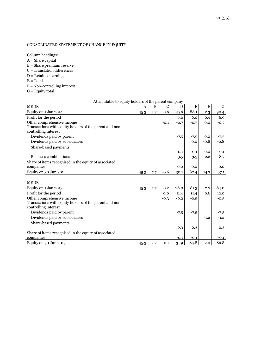## CONSOLIDATED STATEMENT OF CHANGE IN EQUITY

Column headings:  $\mathbf{A} = \mathbf{Share}$  capital B = Share premium reserve

- C = Translation differences
- D = Retained earnings
- $\mathbf{E}=\mathbf{Total}$
- F = Non-controlling interest
- $G =$  Equity total

| Attributable to equity holders of the parent company    |      |              |             |        |        |                           |        |
|---------------------------------------------------------|------|--------------|-------------|--------|--------|---------------------------|--------|
| <b>MEUR</b>                                             | A    | $\, {\bf B}$ | $\mathbf C$ | D      | Е      | $\boldsymbol{\mathrm{F}}$ | G      |
| Equity on 1 Jan 2014                                    | 45.3 | 7.7          | $-0.6$      | 35.6   | 88.1   | 2.3                       | 90.4   |
| Profit for the period                                   |      |              |             | 6.0    | 6.0    | 0.9                       | 6.9    |
| Other comprehensive income                              |      |              | $-0.1$      | $-0.7$ | $-0.7$ | 0.0                       | $-0.7$ |
| Transactions with equity holders of the parent and non- |      |              |             |        |        |                           |        |
| controlling interest                                    |      |              |             |        |        |                           |        |
| Dividends paid by parent                                |      |              |             | $-7.5$ | $-7.5$ | 0.0                       | $-7.5$ |
| Dividends paid by subsidiaries                          |      |              |             |        | 0.0    | $-0.8$                    | $-0.8$ |
| Share-based payments                                    |      |              |             |        |        |                           |        |
|                                                         |      |              |             | 0.1    | 0.1    | 0.0                       | 0.1    |
| Business combinations                                   |      |              |             | $-3.5$ | $-3.5$ | 12.2                      | 8.7    |
| Share of items recognised in the equity of associated   |      |              |             |        |        |                           |        |
| companies                                               |      |              |             | 0.0    | 0.0    |                           | 0.0    |
| Equity on 30 Jun 2014                                   | 45.3 | 7.7          | $-0.6$      | 30.1   | 82.4   | 14.7                      | 97.1   |
|                                                         |      |              |             |        |        |                           |        |
| <b>MEUR</b>                                             |      |              |             |        |        |                           |        |
| Equity on 1 Jan 2013                                    | 45.3 | 7.7          | 0.2         | 28.0   | 81.3   | 2.7                       | 84.0   |
| Profit for the period                                   |      |              | 0.0         | 11.4   | 11.4   | 0.6                       | 12.0   |
| Other comprehensive income                              |      |              | $-0.3$      | $-0.2$ | $-0.5$ |                           | $-0.5$ |
| Transactions with equity holders of the parent and non- |      |              |             |        |        |                           |        |
| controlling interest                                    |      |              |             |        |        |                           |        |
| Dividends paid by parent                                |      |              |             | $-7.5$ | $-7.5$ |                           | $-7.5$ |
| Dividends paid by subsidiaries                          |      |              |             |        |        | $-1.2$                    | $-1.2$ |
| Share-based payments                                    |      |              |             |        |        |                           |        |
|                                                         |      |              |             | 0.3    | 0.3    |                           | 0.3    |
| Share of items recognised in the equity of associated   |      |              |             |        |        |                           |        |
| companies                                               |      |              |             | $-0.1$ | $-0.1$ |                           | $-0.1$ |
| Equity on 30 Jun 2013                                   | 45.3 | 7.7          | $-0.1$      | 31.9   | 84.8   | 2.0                       | 86.8   |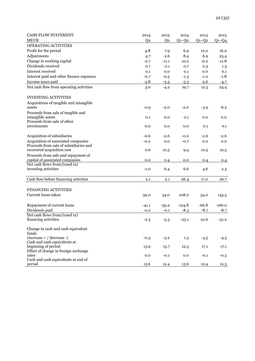| <b>CASH FLOW STATEMENT</b>                                                    | 2014           | 2013           | 2014     | 2013    | 2013     |
|-------------------------------------------------------------------------------|----------------|----------------|----------|---------|----------|
| <b>MEUR</b>                                                                   | Q <sub>2</sub> | Q <sub>2</sub> | $Q1-Q2$  | $Q1-Q2$ | $Q1-Q4$  |
| OPERATING ACTIVITIES                                                          |                |                |          |         |          |
| Profit for the period                                                         | 4.8            | 7.9            | 6.9      | 12.0    | 16.0     |
| Adjustments                                                                   | 4.7            | 2.6            | 8.4      | 6.9     | 25.4     |
| Change in working capital                                                     | $-2.7$         | $-11.1$        | 10.2     | $-0.2$  | $-11.8$  |
| Dividends received                                                            | 0.7            | 0.1            | 0.7      | 0.3     | 1.3      |
| Interest received                                                             | 0.1            | 0.0            | 0.1      | 0.0     | 0.1      |
| Interest paid and other finance expenses                                      | $-0.7$         | $-0.5$         | $-1.3$   | $-1.0$  | $-1.8$   |
| Income taxes paid                                                             | $-3.8$         | $-3.3$         | $-5.3$   | $-5.6$  | $-4.7$   |
| Net cash flow from operating activities                                       | 3.0            | $-4.2$         | 19.7     | 12.5    | 24.4     |
|                                                                               |                |                |          |         |          |
| <b>INVESTING ACTIVITIES</b>                                                   |                |                |          |         |          |
| Acquisitions of tangible and intangible                                       |                |                |          |         |          |
| assets                                                                        | $-0.9$         | $-2.0$         | $-2.0$   | $-3.9$  | $-6.2$   |
| Proceeds from sale of tangible and                                            |                |                |          |         |          |
| intangible assets                                                             | 0.1            | 0.0            | 0.1      | 0.0     | 0.0      |
| Proceeds from sale of other                                                   |                |                |          |         |          |
| investments                                                                   | 0.0            | 0.0            | 0.0      | 0.1     | 0.1      |
|                                                                               |                |                |          |         |          |
| Acquisition of subsidiaries                                                   | $-0.6$         | $-2.6$         | $-0.2$   | $-2.6$  | -2.6     |
| Acquisition of associated companies<br>Proceeds from sale of subsidiaries and | $-0.2$         | 0.0            | $-0.7$   | 0.0     | 0.0      |
| recovered acquisition cost                                                    | 0.6            | 10.5           | 9.4      | 10.5    | 10.5     |
| Proceeds from sale and repayment of                                           |                |                |          |         |          |
| capital of associated companies                                               | 0.0            | 0.4            | 0.0      | 0.4     | 0.4      |
| Net cash flows from/(used in)                                                 |                |                |          |         |          |
| investing activities                                                          | $-1.0$         | 6.4            | 6.6      | 4.6     | 2.3      |
|                                                                               |                |                |          |         |          |
| Cash flow before financing activities                                         | 2.1            | 2.1            | 26.4     | 17.0    | 26.7     |
|                                                                               |                |                |          |         |          |
| <b>FINANCING ACTIVITIES</b>                                                   |                |                |          |         |          |
| Current loans taken                                                           | 39.0           | 54.0           | 108.0    | 54.0    | 143.5    |
|                                                                               |                |                |          |         |          |
| Repayment of current loans                                                    | $-41.1$        | $-59.2$        | $-124.8$ | $-66.8$ | $-166.0$ |
| Dividends paid                                                                | $-0.2$         | $-0.1$         | $-8.3$   | $-8.7$  | $-8.7$   |
| Net cash flows from/(used in)                                                 |                |                |          |         |          |
| financing activities                                                          | $-2.3$         | $-5.3$         | $-25.1$  | $-21.6$ | $-31.2$  |
|                                                                               |                |                |          |         |          |
| Change in cash and cash equivalent                                            |                |                |          |         |          |
| funds<br>$(increase + / decrease -)$                                          |                |                |          |         |          |
| Cash and cash equivalents at                                                  | $-0.3$         | $-3.2$         | 1.3      | $-4.5$  | $-4.5$   |
| beginning of period                                                           | 13.9           | 15.7           | 12.3     | 17.1    | 17.1     |
| Effect of change in foreign exchange                                          |                |                |          |         |          |
| rates                                                                         | 0.0            | $-0.1$         | 0.0      | $-0.1$  | $-0.3$   |
| Cash and cash equivalents at end of                                           |                |                |          |         |          |
| period                                                                        | 13.6           | 12.4           | 13.6     | 12.4    | 12.3     |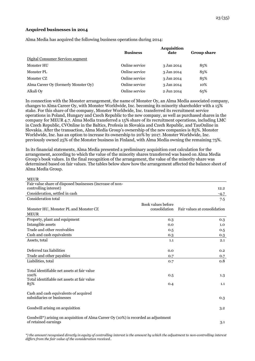## **Acquired businesses in 2014**

Alma Media has acquired the following business operations during 2014:

|                                      | <b>Business</b> | Acquisition<br>date | <b>Group share</b> |
|--------------------------------------|-----------------|---------------------|--------------------|
| Digital Consumer Services segment    |                 |                     |                    |
| Monster HU                           | Online service  | 3 Jan 2014          | 85%                |
| Monster PL                           | Online service  | 3 Jan 2014          | 85%                |
| Monster CZ                           | Online service  | 3 Jan 2014          | 85%                |
| Alma Career Oy (formerly Monster Oy) | Online service  | 3 Jan 2014          | 10%                |
| Alkali Ov                            | Online service  | 2 Jun 2014          | 65%                |

In connection with the Monster arrangement, the name of Monster Oy, an Alma Media associated company, changes to Alma Career Oy, with Monster Worldwide, Inc. becoming its minority shareholder with a 15% stake. For this share of the company, Monster Worldwide, Inc. transferred its recruitment service operations in Poland, Hungary and Czech Republic to the new company, as well as purchased shares in the company for MEUR 4.7. Alma Media transferred a 15% share of its recruitment operations, including LMC in Czech Republic, CVOnline in the Baltics, Profesia in Slovakia and Czech Republic, and TauOnline in Slovakia. After the transaction, Alma Media Group's ownership of the new companies is 85%. Monster Worldwide, Inc. has an option to increase its ownership to 20% by 2017. Monster Worldwide, Inc. previously owned 25% of the Monster business in Finland, with Alma Media owning the remaining 75%.

In its financial statements, Alma Media presented a preliminary acquisition cost calculation for the arrangement, according to which the value of the minority shares transferred was based on Alma Media Group's book values. In the final recognition of the arrangement, the value of the minority share was determined based on fair values. The tables below show how the arrangement affected the balance sheet of Alma Media Group.

| <b>MEUR</b>                                                                         |                    |                              |
|-------------------------------------------------------------------------------------|--------------------|------------------------------|
| Fair value share of disposed businesses (increase of non-                           |                    |                              |
| controlling interest)                                                               |                    | 12.2                         |
| Consideration, settled in cash                                                      |                    | $-4.7$                       |
| <b>Consideration total</b>                                                          |                    | 7.5                          |
|                                                                                     | Book values before |                              |
| Monster HU, Monster PL and Monster CZ                                               | consolidation      | Fair values at consolidation |
| <b>MEUR</b>                                                                         |                    |                              |
| Property, plant and equipment                                                       | 0.3                | 0.3                          |
| Intangible assets                                                                   | 0.0                | 1.0                          |
| Trade and other receivables                                                         | 0.5                | 0.5                          |
| Cash and cash equivalents                                                           | 0.3                | 0.3                          |
| Assets, total                                                                       | 1.1                | 2.1                          |
|                                                                                     |                    |                              |
| Deferred tax liabilities                                                            | 0.0                | 0.2                          |
| Trade and other payables                                                            | 0.7                | 0.7                          |
| Liabilities, total                                                                  | 0.7                | 0.8                          |
|                                                                                     |                    |                              |
| Total identifiable net assets at fair value                                         |                    |                              |
| 100%                                                                                | 0.5                | 1.3                          |
| Total identifiable net assets at fair value                                         |                    |                              |
| 85%                                                                                 | 0.4                | 1.1                          |
| Cash and cash equivalents of acquired                                               |                    |                              |
| subsidiaries or businesses                                                          |                    | 0.3                          |
|                                                                                     |                    |                              |
| Goodwill arising on acquisition                                                     |                    | 3.2                          |
|                                                                                     |                    |                              |
| Goodwill*) arising on acquisition of Alma Career Oy (10%) is recorded as adjustment |                    |                              |
| of retained earnings                                                                |                    | 3.1                          |

*\*) the amount recognised directly in equity of controlling interest is the amount by which the adjustment to non-controlling interest differs from the fair value of the consideration received..*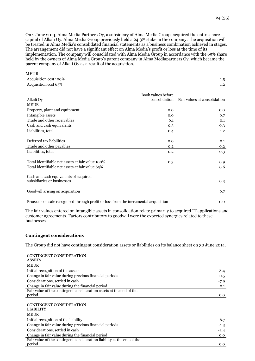implementation. The company will consolidated with Alma Media Group in accordance with the 65% share held by the owners of Alma Media Group's parent company in Alma Mediapartners Oy, which became the parent company of Alkali Oy as a result of the acquisition.

| MEUK                                                                                                |                                     |                              |
|-----------------------------------------------------------------------------------------------------|-------------------------------------|------------------------------|
| Acquisition cost 100%                                                                               |                                     | $1.5\,$                      |
| Acquisition cost 65%                                                                                |                                     | 1.2                          |
| Alkali Oy<br><b>MEUR</b>                                                                            | Book values before<br>consolidation | Fair values at consolidation |
| Property, plant and equipment                                                                       | 0.0                                 | 0.0                          |
| Intangible assets                                                                                   | 0.0                                 |                              |
| Trade and other receivables                                                                         | 0.1                                 | 0.7                          |
| Cash and cash equivalents                                                                           |                                     | 0.1                          |
| Liabilities, total                                                                                  | 0.3<br>0.4                          | 0.3<br>1.2                   |
| Deferred tax liabilities<br>Trade and other payables                                                | 0.0<br>0.2                          | 0.1<br>0.2                   |
| Liabilities, total                                                                                  | 0.2                                 | 0.3                          |
| Total identifiable net assets at fair value 100%<br>Total identifiable net assets at fair value 65% | 0.3                                 | 0.9<br>0.6                   |
| Cash and cash equivalents of acquired<br>subsidiaries or businesses                                 |                                     | 0.3                          |
| Goodwill arising on acquisition                                                                     |                                     | 0.7                          |
| Proceeds on sale recognised through profit or loss from the incremental acquisition                 |                                     | 0.0                          |

The fair values entered on intangible assets in consolidation relate primarily to acquired IT applications and customer agreements. Factors contributory to goodwill were the expected synergies related to these businesses.

## **Contingent considerations**

 $\overline{\phantom{a}}$ 

The Group did not have contingent consideration assets or liabilities on its balance sheet on 30 June 2014.

| CONTINGENT CONSIDERATION                                               |        |
|------------------------------------------------------------------------|--------|
| <b>ASSETS</b>                                                          |        |
| <b>MEUR</b>                                                            |        |
| Initial recognition of the assets                                      | 8.4    |
| Change in fair value during previous financial periods                 | $-0.5$ |
| Considerations, settled in cash                                        | $-7.9$ |
| Change in fair value during the financial period                       | 0.1    |
| Fair value of the contingent consideration assets at the end of the    |        |
| period                                                                 | 0.0    |
| CONTINGENT CONSIDERATION<br><b>LIABILITY</b>                           |        |
| <b>MEUR</b>                                                            |        |
| Initial recognition of the liability                                   | 6.7    |
| Change in fair value during previous financial periods                 | $-4.3$ |
| Considerations, settled in cash                                        | $-2.4$ |
| Change in fair value during the financial period                       | 0.0    |
| Fair value of the contingent consideration liability at the end of the |        |
| period                                                                 | 0.0    |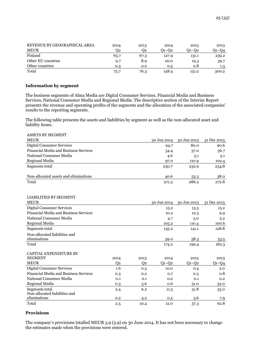| REVENUE BY GEOGRAPHICAL AREA | 2014 | 2013 | 2014  | 2013  | 2013  |
|------------------------------|------|------|-------|-------|-------|
| <b>MEUR</b>                  | 02   | 02   | 01–02 | 01–02 | Q1–Q4 |
| Finland                      | 65.7 | 67.3 | 127.9 | 131.1 | 259.2 |
| Other EU countries           | 9.7  | 8.9  | 20.0  | 19.3  | 39.7  |
| Other countries              | 0.3  | 0.2  | 0.5   | 0.8   | 1.3   |
| Total                        | 75.7 | 76.3 | 148.4 | 151.2 | 300.2 |

#### **Information by segment**

The business segments of Alma Media are Digital Consumer Services, Financial Media and Business Services, National Consumer Media and Regional Media. The descriptive section of the Interim Report presents the revenue and operating profits of the segments and the allocation of the associated companies' results to the reporting segments.

The following table presents the assets and liabilities by segment as well as the non-allocated asset and liability items.

| <b>ASSETS BY SEGMENT</b>                     |                |                |              |             |             |
|----------------------------------------------|----------------|----------------|--------------|-------------|-------------|
| <b>MEUR</b>                                  |                |                | 30 Jun 2014  | 30 Jun 2013 | 31 Dec 2013 |
| <b>Digital Consumer Services</b>             |                |                | 94.7         | 80.0        | 90.6        |
| <b>Financial Media and Business Services</b> |                |                | 34.4         | 37.0        | 36.7        |
| National Consumer Media                      |                |                | 4.6          | 5.1         | 5.1         |
| Regional Media                               |                |                | 97.0         | 110.9       | 102.4       |
| Segments total                               |                |                | 230.7        | 232.9       | 234.8       |
|                                              |                |                |              |             |             |
| Non-allocated assets and eliminations        |                |                | 40.6         | 53.3        | 38.0        |
| Total                                        |                |                | 271.3        | 286.2       | 272.8       |
|                                              |                |                |              |             |             |
| <b>LIABILITIES BY SEGMENT</b>                |                |                |              |             |             |
| <b>MEUR</b>                                  |                |                | 30 Jun 2014  | 30 Jun 2013 | 31 Dec 2013 |
| <b>Digital Consumer Services</b>             |                |                |              |             |             |
| Financial Media and Business Services        |                |                | 15.2<br>10.2 | 13.3        | 13.2        |
| National Consumer Media                      |                |                |              | 12.3        | 9.9         |
|                                              |                |                | 4.7          | 5.0         | 5.2         |
| Regional Media                               |                |                | 105.2        | 110.4       | 100.6       |
| Segments total                               |                |                | 135.2        | 141.1       | 128.8       |
| Non-allocated liabilities and                |                |                |              |             |             |
| eliminations                                 |                |                | 39.0         | 58.3        | 53.5        |
| Total                                        |                |                | 174.2        | 199.4       | 182.3       |
| <b>CAPITAL EXPENDITURE BY</b>                |                |                |              |             |             |
| <b>SEGMENT</b>                               | 2014           | 2013           | 2014         | 2013        | 2013        |
| <b>MEUR</b>                                  | Q <sub>2</sub> | Q <sub>2</sub> | $Q1-Q2$      | $O1 - O2$   | $Q1-Q4$     |
| <b>Digital Consumer Services</b>             | 1.6            | 0.3            | 10.0         | 0.4         | 2.0         |
| Financial Media and Business Services        | 0.3            | 0.2            | 0.7          | 0.3         | 0.8         |
| National Consumer Media                      | 0.1            | 0.1            | 0.2          | 0.1         | 0.2         |
| Regional Media                               | 0.3            | 5.6            | 0.6          | 51.0        | 52.0        |
| Segments total                               | 2.4            | 6.2            | 11.5         | 51.8        | 55.0        |
| Non-allocated liabilities and                |                |                |              |             |             |
| eliminations                                 | 0.2            | 4.2            | 0.5          | 5.6         | 7.9         |
| Total                                        | 2.5            | 10.4           | 12.0         | 57.3        | 62.8        |

## **Provisions**

The company's provisions totalled MEUR 3.9 (3.9) on 30 June 2014. It has not been necessary to change the estimates made when the provisions were entered.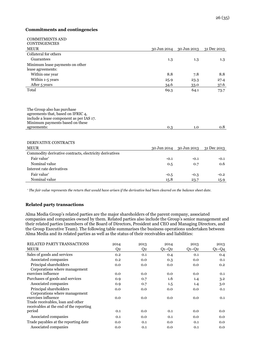## **Commitments and contingencies**

| <b>COMMITMENTS AND</b><br><b>CONTINGENCIES</b>                                                                                                                  |             |                         |             |
|-----------------------------------------------------------------------------------------------------------------------------------------------------------------|-------------|-------------------------|-------------|
| <b>MEUR</b>                                                                                                                                                     |             | 30 Jun 2014 30 Jun 2013 | 31 Dec 2013 |
| Collateral for others                                                                                                                                           |             |                         |             |
| Guarantees                                                                                                                                                      | 1.3         | 1.3                     | 1.3         |
| Minimum lease payments on other                                                                                                                                 |             |                         |             |
| lease agreements:                                                                                                                                               |             |                         |             |
| Within one year                                                                                                                                                 | 8.8         | 7.8                     | 8.8         |
| Within 1-5 years                                                                                                                                                | 25.9        | 23.3                    | 27.4        |
| After 5 years                                                                                                                                                   | 34.6        | 33.0                    | 37.6        |
| Total                                                                                                                                                           | 69.3        | 64.1                    | 73.7        |
| The Group also has purchase<br>agreements that, based on IFRIC 4,<br>include a lease component as per IAS 17.<br>Minimum payments based on these<br>agreements: | 0.3         | 1.0                     | 0.8         |
| <b>DERIVATIVE CONTRACTS</b><br><b>MEUR</b>                                                                                                                      | 30 Jun 2014 | 30 Jun 2013             | 31 Dec 2013 |
| Commodity derivative contracts, electricity derivatives                                                                                                         |             |                         |             |
| Fair value*                                                                                                                                                     | $-0.1$      | $-0.1$                  | $-0.1$      |
| Nominal value                                                                                                                                                   | 0.5         | 0.7                     | 0.6         |
| Interest rate derivatives                                                                                                                                       |             |                         |             |
| Fair value*                                                                                                                                                     | $-0.5$      | $-0.3$                  | $-0.2$      |
| Nominal value                                                                                                                                                   | 15.8        | 23.7                    | 15.9        |

*\* The fair value represents the return that would have arisen if the derivative had been cleared on the balance sheet date.*

## **Related party transactions**

Alma Media Group's related parties are the major shareholders of the parent company, associated companies and companies owned by them. Related parties also include the Group's senior management and their related parties (members of the Board of Directors, President and CEO and Managing Directors, and the Group Executive Team). The following table summarises the business operations undertaken between Alma Media and its related parties as well as the status of their receivables and liabilities:

| RELATED PARTY TRANSACTIONS              | 2014 | 2013 | 2014    | 2013        | 2013    |
|-----------------------------------------|------|------|---------|-------------|---------|
| <b>MEUR</b>                             | Q2   | Q2   | $Q1-Q2$ | $Q_1 - Q_2$ | $Q1-Q4$ |
| Sales of goods and services             | 0.2  | 0.1  | 0.4     | 0.1         | 0.4     |
| Associated companies                    | 0.2  | 0.0  | 0.3     | 0.0         | 0.1     |
| Principal shareholders                  | 0.0  | 0.0  | 0.0     | 0.0         | 0.2     |
| Corporations where management           |      |      |         |             |         |
| exercises influence                     | 0.0  | 0.0  | 0.0     | 0.0         | 0.1     |
| Purchases of goods and services         | 0.9  | 0.7  | 1.6     | 1.4         | 3.2     |
| Associated companies                    | 0.9  | 0.7  | 1.5     | 1.4         | 3.0     |
| Principal shareholders                  | 0.0  | 0.0  | 0.0     | 0.0         | 0.1     |
| Corporations where management           |      |      |         |             |         |
| exercises influence                     | 0.0  | 0.0  | 0.0     | 0.0         | 0.1     |
| Trade receivables, loan and other       |      |      |         |             |         |
| receivables at the end of the reporting |      |      |         |             |         |
| period                                  | 0.1  | 0.0  | 0.1     | 0.0         | 0.0     |
| Associated companies                    | 0.1  | 0.0  | 0.1     | 0.0         | 0.0     |
| Trade payables at the reporting date    | 0.0  | 0.1  | 0.0     | 0.1         | 0.0     |
| Associated companies                    | 0.0  | 0.1  | 0.0     | 0.1         | 0.0     |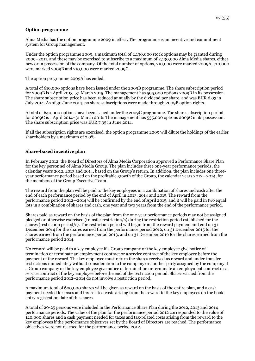## **Option programme**

Alma Media has the option programme 2009 in effect. The programme is an incentive and commitment system for Group management.

Under the option programme 2009, a maximum total of 2,130,000 stock options may be granted during 2009–2011, and these may be exercised to subscribe to a maximum of 2,130,000 Alma Media shares, either new or in possession of the company. Of the total number of options, 710,000 were marked 2009A, 710,000 were marked 2009B and 710,000 were marked 2009C.

The option programme 2009A has ended.

A total of 610,000 options have been issued under the 2009B programme. The share subscription period for 2009B is 1 April 2013–31 March 2015. The management has 505,000 options 2009B in its possession. The share subscription price has been reduced annually by the dividend per share, and was EUR 6.03 in July 2014. As of 30 June 2014, no share subscriptions were made through 2009B option rights.

A total of 640,000 options have been issued under the 2009C programme. The share subscription period for 2009C is 1 April 2014–31 March 2016. The management has 535,000 options 2009C in its possession. The share subscription price was EUR 7.35 in June 2014.

If all the subscription rights are exercised, the option programme 2009 will dilute the holdings of the earlier shareholders by a maximum of 2.0%.

## **Share-based incentive plan**

In February 2012, the Board of Directors of Alma Media Corporation approved a Performance Share Plan for the key personnel of Alma Media Group. The plan includes three one-year performance periods, the calendar years 2012, 2013 and 2014, based on the Group's return. In addition, the plan includes one threeyear performance period based on the profitable growth of the Group, the calendar years 2012—2014, for the members of the Group Executive Team.

The reward from the plan will be paid to the key employees in a combination of shares and cash after the end of each performance period by the end of April in 2013, 2014 and 2015. The reward from the performance period 2012—2014 will be confirmed by the end of April 2015, and it will be paid in two equal lots in a combination of shares and cash, one year and two years from the end of the performance period.

Shares paid as reward on the basis of the plan from the one-year performance periods may not be assigned, pledged or otherwise exercised (transfer restriction/s) during the restriction period established for the shares (restriction period/s). The restriction period will begin from the reward payment and end on 31 December 2014 for the shares earned from the performance period 2012, on 31 December 2015 for the shares earned from the performance period 2013, and on 31 December 2016 for the shares earned from the performance period 2014.

No reward will be paid to a key employee if a Group company or the key employee give notice of termination or terminate an employment contract or a service contract of the key employee before the payment of the reward. The key employee must return the shares received as reward and under transfer restrictions immediately without consideration to the company or another party assigned by the company if a Group company or the key employee give notice of termination or terminate an employment contract or a service contract of the key employee before the end of the restriction period. Shares earned from the performance period 2012–2014 do not involve a restriction period.

A maximum total of 600,000 shares will be given as reward on the basis of the entire plan, and a cash payment needed for taxes and tax-related costs arising from the reward to the key employees on the bookentry registration date of the shares.

A total of 20-25 persons were included in the Performance Share Plan during the 2012, 2013 and 2014 performance periods. The value of the plan for the performance period 2012 corresponded to the value of 120,000 shares and a cash payment needed for taxes and tax-related costs arising from the reward to the key employees if the performance objectives set by the Board of Directors are reached. The performance objectives were not reached for the performance period 2012.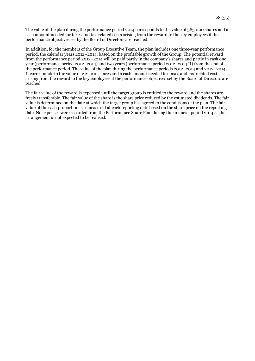The value of the plan during the performance period 2014 corresponds to the value of 383,000 shares and a cash amount needed for taxes and tax-related costs arising from the reward to the key employees if the performance objectives set by the Board of Directors are reached.

In addition, for the members of the Group Executive Team, the plan includes one three-year performance period, the calendar years 2012–2014, based on the profitable growth of the Group. The potential reward from the performance period 2012–2014 will be paid partly in the company's shares and partly in cash one year (performance period 2012–2014) and two years (performance period 2012–2014 II) from the end of the performance period. The value of the plan during the performance periods 2012–2014 and 2012–2014 II corresponds to the value of 212,000 shares and a cash amount needed for taxes and tax-related costs arising from the reward to the key employees if the performance objectives set by the Board of Directors are reached.

The fair value of the reward is expensed until the target group is entitled to the reward and the shares are freely transferable. The fair value of the share is the share price reduced by the estimated dividends. The fair value is determined on the date at which the target group has agreed to the conditions of the plan. The fair value of the cash proportion is remeasured at each reporting date based on the share price on the reporting date. No expenses were recorded from the Performance Share Plan during the financial period 2014 as the arrangement is not expected to be realised.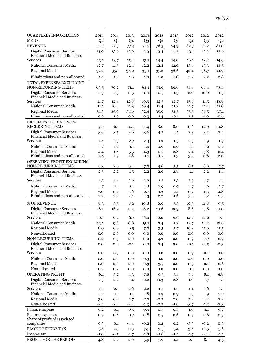| <b>QUARTERLY INFORMATION</b>                                            | 2014           | 2014           | 2013           | 2013          | 2013           | 2013           | 2012           | 2012          | 2012           |
|-------------------------------------------------------------------------|----------------|----------------|----------------|---------------|----------------|----------------|----------------|---------------|----------------|
| <b>MEUR</b>                                                             | Q <sub>2</sub> | Q <sub>1</sub> | Q <sub>4</sub> | $Q_3$         | Q <sub>2</sub> | Q <sub>1</sub> | Q <sub>4</sub> | $Q_3$         | Q <sub>2</sub> |
| <b>REVENUE</b>                                                          | 75.7           | 72.7           | 77.3           | 71.7          | 76.3           | 74.9           | 82.7           | 75.2          | 81.0           |
| <b>Digital Consumer Services</b><br><b>Financial Media and Business</b> | 14.0           | 13.6           | 12.9           | 12.3          | 13.4           | 14.1           | 13.1           | 12.2          | 12.6           |
| <b>Services</b>                                                         | 13.1           | 13.7           | 15.4           | 13.1          | 14.4           | 14.0           | 16.1           | 13.2          | 14.9           |
| National Consumer Media                                                 | 12.7           | 11.5           | 12.4           | 12.2          | 12.4           | 12.0           | 13.4           | 13.3          | 14.5           |
| Regional Media                                                          | 37.2           | 35.1           | 38.2           | 35.1          | 37.2           | 36.6           | 42.4           | 38.7          | 41.9           |
| Eliminations and non-allocated                                          | $-1.4$         | $-1.3$         | $-1.6$         | $-1.0$        | $-1.0$         | $-1.8$         | $-2.2$         | $-2.2$        | $-2.8$         |
| TOTAL EXPENSES EXCLUDING<br>NON-RECURRING ITEMS                         | 69.5           | 70.2           | 71.1           | 64.1          | 71.9           | 69.6           | 74.4           | 66.4          | 73.4           |
| <b>Digital Consumer Services</b>                                        | 11.5           | 11.5           | 11.5           | 10.1          | 10.5           | 11.3           | 12.0           | 10.0          | 11.3           |
| Financial Media and Business<br><b>Services</b>                         | 11.7           | 12.4           | 12.8           | 10.9          | 12.7           | 12.7           | 13.8           | 11.5          | 13.8           |
| National Consumer Media                                                 | 11.1           | 10.4           | 11.3           | 10.4          | 11.4           | 11.2           | 11.7           | 11.4          | 11.8           |
| Regional Media                                                          | 34.3           | 35.0           | 34.6           | 32.4          | 35.9           | 34.5           | 35.5           | 34.5          | 37.1           |
| Eliminations and non-allocated                                          | 0.9            | 1.0            | 0.9            | 0.3           | 1.4            | $-0.1$         | 1.3            | $-1.0$        | $-0.6$         |
| EBITDA EXCLUDING NON-<br><b>RECURRING ITEMS</b>                         | 9.7            | 6.1            | 10.1           | 11.4          | 8.0            | 8.0            | 10.6           | 12.0          | 10.8           |
| <b>Digital Consumer Services</b>                                        | 3.9            | 3.5            | 2.6            | 3.6           | 4.2            | 4.1            | 2.3            | 3.2           | 2.4            |
| Financial Media and Business<br><b>Services</b>                         | 1.4            | 1.5            | 2.7            | 2.4           | 1.9            | $1.5\,$        | 2.5            | 1.9           | 1.3            |
| National Consumer Media                                                 | 1.7            | 1.2            | 1.1            | 1.9           | 0.9            | 0.9            | 1.7            | 1.9           | 2.7            |
| Regional Media                                                          | 4.4            | 1.8            | 5.5            | 4.3           | 2.7            | 2.8            | 7.4            | 5.8           | 6.4            |
| Eliminations and non-allocated                                          | $-1.6$         | $-1.9$         | $-1.8$         | $-0.7$        | $-1.7$         | $-1.3$         | $-3.3$         | $-0.8$        | $-2.0$         |
| OPERATING PROFIT EXCLUDING<br>NON-RECURRING ITEMS                       | 6.3            | 2.6            | 6.4            | 7.8           | 4.6            | 5.5            | 8.5            | 8.9           | 7.7            |
| <b>Digital Consumer Services</b>                                        | 2.5            | 2.2            | 1.5            | 2.2           | 2.9            | 2.8            | 1.1            | 2.2           | 1.4            |
| Financial Media and Business<br><b>Services</b>                         | 1.3            | $1.4\,$        | 2.6            | 2.2           | 1.7            | $1.3\,$        | 2.3            | 1.7           | 1.1            |
| National Consumer Media                                                 | 1.7            | 1.1            | 1.1            | 1.8           | 0.9            | 0.9            | 1.7            | 1.9           | 2.7            |
| Regional Media                                                          | 3.0            | 0.2            | 3.6            | 2.7           | 1.3            | 2.1            | 6.9            | 4.3           | 4.8            |
| Eliminations and non-allocated                                          | $-2.2$         | $-2.3$         | $-2.4$         | $-1.3$        | $-2.2$         | $-1.6$         | $-3.5$         | $-1.2$        | $-2.3$         |
| % OF REVENUE                                                            | 8.3            | 3.5            | 8.2            | 10.8          | 6.0            | 7.3            | 10.3           | 11.8          | 9.5            |
| <b>Digital Consumer Services</b>                                        | 18.1           | 16.2           | 11.3           | 18.2          | 21.6           | 19.9           | 8.6            | 17.8          | 11.0           |
| Financial Media and Business                                            |                |                |                |               |                |                |                |               |                |
| <b>Services</b>                                                         | 10.1           | 9.9            | 16.7           | 16.9          | 12.0           | 9.6            | 14.2           | 12.9          | 7.1            |
| National Consumer Media                                                 | 13.1           | 9.8            | 8.8            | 15.1          | 7.4            | 7.2            | 12.7           | 14.2          | 18.6           |
| Regional Media<br>Non-allocated                                         | 8.0<br>0.0     | 0.6<br>0.0     | 9.5            | 7.8           | 3.5<br>0.0     | 5.7            | 16.3           | 11.0<br>0.0   | 11.5<br>0.0    |
| NON-RECURRING ITEMS                                                     | $-0.2$         |                | 0.0<br>$-2.0$  | 0.0<br>0.0    | 4.9            | 0.0            | 0.0<br>$-0.9$  | $-0.7$        | $-2.9$         |
| <b>Digital Consumer Services</b>                                        | 0.0            | 0.5<br>0.0     | $-0.1$         | 0.0           | 8.4            | 0.0<br>0.0     | $-0.1$         | $-0.5$        | $-0.3$         |
| Financial Media and Business<br><b>Services</b>                         | 0.0            | 0.7            | 0.0            | 0.0           | 0.0            | 0.0            | $-0.9$         | $-0.1$        | 0.0            |
| National Consumer Media                                                 |                |                |                |               |                |                |                |               |                |
| Regional Media                                                          | 0.0<br>0.0     | 0.0<br>0.0     | 0.0<br>$-2.0$  | $-0.3$<br>0.3 | 0.0            | 0.0<br>0.0     | 0.0<br>0.3     | 0.0<br>$-0.1$ | 0.0<br>$-2.6$  |
| Non-allocated                                                           | $-0.2$         | $-0.2$         | 0.0            | 0.0           | $-3.5$<br>0.0  | 0.0            | $-0.1$         | 0.0           | 0.0            |
| <b>OPERATING PROFIT</b>                                                 | 6.1            | 3.2            | 4.3            | 7.8           | 9.5            | 5.4            | 7.6            | 8.1           | 4.8            |
| <b>Digital Consumer Services</b>                                        | 2.5            | 2.2            | 1.4            | 2.2           | 11.3           | 2.8            | 1.0            | 1.7           | 1.1            |
| Financial Media and Business<br>Services                                | 1.3            | 2.1            | 2.6            | 2.2           | 1.7            | 1.3            | 1.4            | 1.6           | 1.1            |
| National Consumer Media                                                 | 1.7            | 1.1            | 1.1            | 1.8           | 0.9            | 0.9            | 1.7            | 1.9           | 2.7            |
| Regional Media                                                          | 3.0            | 0.2            | 1.7            | 2.7           | $-2.2$         | 2.0            | 7.2            | 4.2           | 2.2            |
| Non-allocated                                                           | $-2.4$         | $-2.4$         | $-2.4$         | $-1.3$        | $-2.2$         | $-1.6$         | $-3.7$         | $-1.2$        | $-2.3$         |
| Finance income                                                          | 0.2            | 0.1            | 0.5            | 0.9           | 0.5            | 0.4            | $1.0$          | 3.1           | 0.7            |
| Finance expenses                                                        | 0.9            | 0.8            | 0.7            | 0.8           | 0.5            | 0.6            | 0.9            | 0.6           | 0.3            |
| Share of profit of associated                                           |                |                |                |               |                |                |                |               |                |
| companies                                                               | 0.3            | 0.1            | $-4.4$         | $-0.2$        | 0.2            | 0.2            | $-3.9$         | $-0.2$        | 0.3            |
| PROFIT BEFORE TAX                                                       | 5.8            | 2.7            | $-0.3$         | 7.7           | 9.5            | 5.4            | 3.8            | 10.5          | 5.6            |
| Income tax                                                              | $-1.0$         | $-0.5$         | $-1.7$         | $-1.8$        | $-1.6$         | $-1.4$         | $-1.7$         | $-2.4$        | $-1.1$         |
| PROFIT FOR THE PERIOD                                                   | 4.8            | 2.2            | $-2.0$         | 5.9           | 7.9            | 4.1            | 2.1            | 8.1           | 4.5            |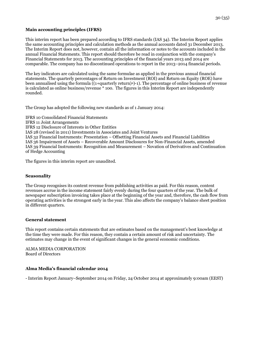## **Main accounting principles (IFRS)**

This interim report has been prepared according to IFRS standards (IAS 34). The Interim Report applies the same accounting principles and calculation methods as the annual accounts dated 31 December 2013. The Interim Report does not, however, contain all the information or notes to the accounts included in the annual Financial Statements. This report should therefore be read in conjunction with the company's Financial Statements for 2013. The accounting principles of the financial years 2013 and 2014 are comparable. The company has no discontinued operations to report in the 2013–2014 financial periods.

The key indicators are calculated using the same formulae as applied in the previous annual financial statements. The quarterly percentages of Return on Investment (ROI) and Return on Equity (ROE) have been annualised using the formula ((1+quarterly return)4)-1). The percentage of online business of revenue is calculated as online business/revenue \* 100. The figures in this Interim Report are independently rounded.

The Group has adopted the following new standards as of 1 January 2014:

IFRS 10 Consolidated Financial Statements IFRS 11 Joint Arrangements IFRS 12 Disclosure of Interests in Other Entities IAS 28 (revised in 2011) Investments in Associates and Joint Ventures IAS 32 Financial Instruments: Presentation – Offsetting Financial Assets and Financial Liabilities IAS 36 Impairment of Assets – Recoverable Amount Disclosures for Non-Financial Assets, amended IAS 39 Financial Instruments: Recognition and Measurement – Novation of Derivatives and Continuation of Hedge Accounting

The figures in this interim report are unaudited.

#### **Seasonality**

The Group recognises its content revenue from publishing activities as paid. For this reason, content revenues accrue in the income statement fairly evenly during the four quarters of the year. The bulk of newspaper subscription invoicing takes place at the beginning of the year and, therefore, the cash flow from operating activities is the strongest early in the year. This also affects the company's balance sheet position in different quarters.

#### **General statement**

This report contains certain statements that are estimates based on the management's best knowledge at the time they were made. For this reason, they contain a certain amount of risk and uncertainty. The estimates may change in the event of significant changes in the general economic conditions.

ALMA MEDIA CORPORATION Board of Directors

#### **Alma Media's financial calendar 2014**

- Interim Report January–September 2014 on Friday, 24 October 2014 at approximately 9:00am (EEST)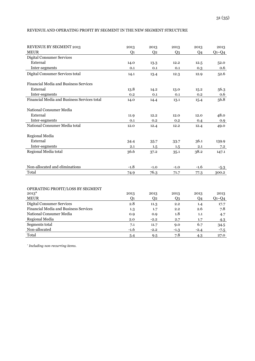## REVENUE AND OPERATING PROFIT BY SEGMENT IN THE NEW SEGMENT STRUCTURE

| REVENUE BY SEGMENT 2013                      | 2013           | 2013           | 2013           | 2013           | 2013    |
|----------------------------------------------|----------------|----------------|----------------|----------------|---------|
| <b>MEUR</b>                                  | Q <sub>1</sub> | Q <sub>2</sub> | $Q_3$          | Q4             | $Q1-Q4$ |
| <b>Digital Consumer Services</b>             |                |                |                |                |         |
| External                                     | 14.0           | 13.3           | 12.2           | 12.5           | 52.0    |
| Inter-segments                               | 0.1            | 0.1            | 0.1            | 0.3            | 0.6     |
| Digital Consumer Services total              | 14.1           | 13.4           | 12.3           | 12.9           | 52.6    |
| Financial Media and Business Services        |                |                |                |                |         |
| External                                     | 13.8           | 14.2           | 13.0           | 15.2           | 56.3    |
| Inter-segments                               | 0.2            | 0.1            | 0.1            | 0.2            | 0.6     |
| Financial Media and Business Services total  | 14.0           | 14.4           | 13.1           | 15.4           | 56.8    |
| National Consumer Media                      |                |                |                |                |         |
| External                                     | 11.9           | 12.2           | 12.0           | 12.0           | 48.0    |
| Inter-segments                               | 0.1            | 0.2            | 0.2            | 0.4            | 0.9     |
| National Consumer Media total                | 12.0           | 12.4           | 12.2           | 12.4           | 49.0    |
| Regional Media                               |                |                |                |                |         |
| External                                     | 34.4           | 35.7           | 33.7           | 36.1           | 139.9   |
| Inter-segments                               | 2.1            | 1.5            | 1.5            | 2.1            | 7.2     |
| Regional Media total                         | 36.6           | 37.2           | 35.1           | 38.2           | 147.1   |
| Non-allocated and eliminations               | $-1.8$         | $-1.0$         | $-1.0$         | $-1.6$         | $-5.3$  |
| Total                                        | 74.9           | 76.3           | 71.7           | 77.3           | 300.2   |
|                                              |                |                |                |                |         |
| OPERATING PROFIT/LOSS BY SEGMENT             |                |                |                |                |         |
| $2013*$                                      | 2013           | 2013           | 2013           | 2013           | 2013    |
| <b>MEUR</b>                                  | O <sub>1</sub> | O <sub>2</sub> | Q <sub>3</sub> | O <sub>4</sub> | $Q1-Q4$ |
| <b>Digital Consumer Services</b>             | 2.8            | 11.3           | 2.2            | 1.4            | 17.7    |
| <b>Financial Media and Business Services</b> | 1.3            | 1.7            | 2.2            | 2.6            | 7.8     |
| National Consumer Media                      | 0.9            | 0.9            | 1.8            | 1.1            | 4.7     |
| Regional Media                               | 2.0            | $-2.2$         | 2.7            | 1.7            | 4.3     |
| Segments total                               | 7.1            | 11.7           | 9.0            | 6.7            | 34.5    |
| Non-allocated                                | $-1.6$         | $-2.2$         | $-1.3$         | $-2.4$         | $-7.5$  |
| Total                                        | 5.4            | 9.5            | 7.8            | 4.3            | 27.0    |

*\* Including non-recurring items.*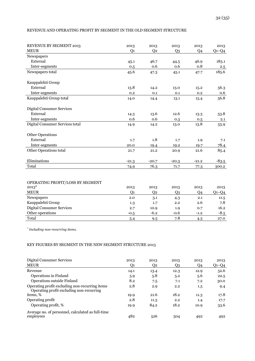## REVENUE AND OPERATING PROFIT BY SEGMENT IN THE OLD SEGMENT STRUCTURE

| <b>REVENUE BY SEGMENT 2013</b>   | 2013           | 2013           | 2013    | 2013           | 2013    |
|----------------------------------|----------------|----------------|---------|----------------|---------|
| <b>MEUR</b>                      | Q <sub>1</sub> | Q <sub>2</sub> | $Q_3$   | Q <sub>4</sub> | $Q1-Q4$ |
| Newspapers                       |                |                |         |                |         |
| External                         | 45.1           | 46.7           | 44.5    | 46.9           | 183.1   |
| Inter-segments                   | 0.5            | 0.6            | 0.6     | 0.8            | 2.5     |
| Newspapers total                 | 45.6           | 47.3           | 45.1    | 47.7           | 185.6   |
| Kauppalehti Group                |                |                |         |                |         |
| External                         | 13.8           | 14.2           | 13.0    | 15.2           | 56.3    |
| Inter-segments                   | 0.2            | 0.1            | 0.1     | 0.2            | 0.6     |
| Kauppalehti Group total          | 14.0           | 14.4           | 13.1    | 15.4           | 56.8    |
| <b>Digital Consumer Services</b> |                |                |         |                |         |
| External                         | 14.3           | 13.6           | 12.6    | 13.3           | 53.8    |
| Inter-segments                   | 0.6            | 0.6            | 0.3     | 0.5            | 2.1     |
| Digital Consumer Services total  | 14.9           | 14.2           | 13.0    | 13.8           | 55.9    |
| <b>Other Operations</b>          |                |                |         |                |         |
| External                         | 1.7            | 1.8            | 1.7     | 1.9            | 7.1     |
| Inter-segments                   | 20.0           | 19.4           | 19.2    | 19.7           | 78.4    |
| Other Operations total           | 21.7           | 21.2           | 20.9    | 21.6           | 85.4    |
| Eliminations                     | $-21.3$        | $-20.7$        | $-20.3$ | $-21.2$        | $-83.5$ |
| Total                            | 74.9           | 76.3           | 71.7    | 77.3           | 300.2   |

## OPERATING PROFIT/LOSS BY SEGMENT

| $2013*$                   | 2013   | 2013   | 2013   | 2013           | 2013        |
|---------------------------|--------|--------|--------|----------------|-------------|
| <b>MEUR</b>               | Ο1     | 02     | Q3     | Q <sub>4</sub> | $Q_1 - Q_4$ |
| Newspapers                | 2.0    | 3.1    | 4.3    | 2.1            | 11.5        |
| Kauppalehti Group         | 1.3    | 1.7    | 2.2    | 2.6            | 7.8         |
| Digital Consumer Services | 2.7    | 10.9   | 1.9    | 0.7            | 16.2        |
| Other operations          | $-0.5$ | $-6.2$ | $-0.6$ | $-1.2$         | $-8.5$      |
| Total                     | 5.4    | 9.5    | 7.8    | 4.3            | 27.0        |

*\* Including non-recurring items.*

## KEY FIGURES BY SEGMENT IN THE NEW SEGMENT STRUCTURE 2013

| Digital Consumer Services<br><b>MEUR</b>                                                   | 2013<br>Q1 | 2013<br>Q2 | 2013<br>Q3 | 2013<br>Q4 | 2013<br>$Q1-Q4$ |
|--------------------------------------------------------------------------------------------|------------|------------|------------|------------|-----------------|
| Revenue                                                                                    | 14.1       | 13.4       | 12.3       | 12.9       | 52.6            |
| Operations in Finland                                                                      | 5.9        | 5.8        | 5.2        | 5.6        | 22.5            |
| Operations outside Finland                                                                 | 8.2        | 7.5        | 7.1        | 7.2        | 30.0            |
| Operating profit excluding non-recurring items<br>Operating profit excluding non-recurring | 2.8        | 2.9        | 2.2        | $1.5\,$    | 9.4             |
| items, %                                                                                   | 19.9       | 21.6       | 18.2       | 11.3       | 17.8            |
| Operating profit                                                                           | 2.8        | 11.3       | 2.2        | 1.4        | 17.7            |
| Operating profit, %                                                                        | 19.9       | 84.2       | 18.2       | 10.9       | 33.6            |
| Average no. of personnel, calculated as full-time<br>employees                             | 482        | 526        | 504        | 492        | 492             |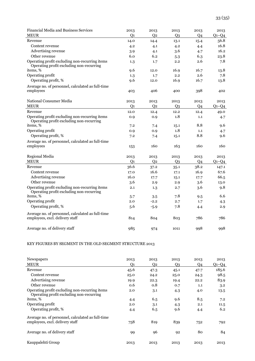| Financial Media and Business Services                                                      | 2013           | 2013           | 2013           | 2013           | 2013      |
|--------------------------------------------------------------------------------------------|----------------|----------------|----------------|----------------|-----------|
| <b>MEUR</b>                                                                                | Q <sub>1</sub> | Q <sub>2</sub> | $Q_3$          | Q <sub>4</sub> | $Q_1-Q_4$ |
| Revenue                                                                                    | 14.0           | 14.4           | 13.1           | 15.4           | 56.8      |
| Content revenue                                                                            | 4.2            | 4.1            | 4.2            | 4.4            | 16.8      |
| Advertising revenue                                                                        | 3.9            | 4.1            | 3.6            | 4.7            | 16.2      |
| Other revenue                                                                              | 6.0            | 6.2            | 5.3            | 6.3            | 23.8      |
| Operating profit excluding non-recurring items<br>Operating profit excluding non-recurring | 1.3            | 1.7            | 2.2            | 2.6            | 7.8       |
| items, %                                                                                   | 9.6            | 12.0           | 16.9           | 16.7           | 13.8      |
| Operating profit                                                                           | 1.3            | 1.7            | 2.2            | 2.6            | 7.8       |
| Operating profit, %                                                                        | 9.6            | 12.0           | 16.9           | 16.7           | 13.8      |
| Average no. of personnel, calculated as full-time                                          |                |                |                |                |           |
| employees                                                                                  | 403            | 406            | 400            | 398            | 402       |
| National Consumer Media                                                                    | 2013           | 2013           | 2013           | 2013           | 2013      |
| <b>MEUR</b>                                                                                | Q <sub>1</sub> | Q <sub>2</sub> | Q <sub>3</sub> | Q <sub>4</sub> | $Q1-Q4$   |
| Revenue                                                                                    | 12.0           | 12.4           | 12.2           | 12.4           | 49.0      |
| Operating profit excluding non-recurring items<br>Operating profit excluding non-recurring | 0.9            | 0.9            | 1.8            | 1.1            | 4.7       |
| items, %                                                                                   | 7.2            | 7.4            | 15.1           | 8.8            | 9.6       |
| Operating profit                                                                           | 0.9            | 0.9            | 1.8            | 1.1            | 4.7       |
| Operating profit, %                                                                        | 7.2            | 7.4            | 15.1           | 8.8            | 9.6       |
| Average no. of personnel, calculated as full-time                                          |                |                |                |                |           |
| employees                                                                                  | 153            | 160            | 163            | 160            | 160       |
| Regional Media                                                                             | 2013           | 2013           | 2013           | 2013           | 2013      |
| <b>MEUR</b>                                                                                | Q <sub>1</sub> | Q <sub>2</sub> | Q <sub>3</sub> | Q <sub>4</sub> | $Q1-Q4$   |
| Revenue                                                                                    | 36.6           | 37.2           | 35.1           | 38.2           | 147.1     |
| Content revenue                                                                            | 17.0           | 16.6           | 17.1           | 16.9           | 67.6      |
| Advertising revenue                                                                        | 16.0           | 17.7           | 15.1           | 17.7           | 66.5      |
| Other revenue                                                                              | 3.6            | 2.9            | 2.9            | 3.6            | 13.0      |
| Operating profit excluding non-recurring items<br>Operating profit excluding non-recurring | 2.1            | 1.3            | 2.7            | 3.6            | 9.8       |
| items, %                                                                                   | 5.7            | 3.5            | 7.8            | 9.5            | 6.6       |
| Operating profit                                                                           | 2.0            | $-2.2$         | 2.7            | 1.7            | 4.3       |
| Operating profit, %                                                                        | 5.6            | $-5.9$         | 7.8            | 4.4            | 2.9       |
| Average no. of personnel, calculated as full-time                                          |                |                |                |                |           |
| employees, excl. delivery staff                                                            | 814            | 804            | 803            | 786            | 786       |
| Average no. of delivery staff                                                              | 985            | 974            | 1011           | 998            | 998       |

## KEY FIGURES BY SEGMENT IN THE OLD SEGMENT STRUCTURE 2013

| Newspapers                                                                                 | 2013 | 2013 | 2013           | 2013 | 2013    |
|--------------------------------------------------------------------------------------------|------|------|----------------|------|---------|
| <b>MEUR</b>                                                                                | Q1   | Q2   | Q3             | Q4   | $Q1-Q4$ |
| Revenue                                                                                    | 45.6 | 47.3 | 45.1           | 47.7 | 185.6   |
| Content revenue                                                                            | 25.0 | 24.2 | 25.0           | 24.3 | 98.5    |
| Advertising revenue                                                                        | 19.9 | 22.3 | 19.4           | 22.2 | 83.9    |
| Other revenue                                                                              | 0.6  | 0.8  | 0.7            | 1.1  | 3.2     |
| Operating profit excluding non-recurring items<br>Operating profit excluding non-recurring | 2.0  | 3.1  | 4.3            | 4.0  | 13.5    |
| items, %                                                                                   | 4.4  | 6.5  | 9.6            | 8.5  | 7.2     |
| Operating profit                                                                           | 2.0  | 3.1  | 4.3            | 2.1  | 11.5    |
| Operating profit, %                                                                        | 4.4  | 6.5  | 9.6            | 4.4  | 6.2     |
| Average no. of personnel, calculated as full-time                                          |      |      |                |      |         |
| employees, excl. delivery staff                                                            | 758  | 819  | 839            | 752  | 792     |
| Average no. of delivery staff                                                              | 99   | 96   | Q <sub>2</sub> | 80   | 84      |
| Kauppalehti Group                                                                          | 2013 | 2013 | 2013           | 2013 | 2013    |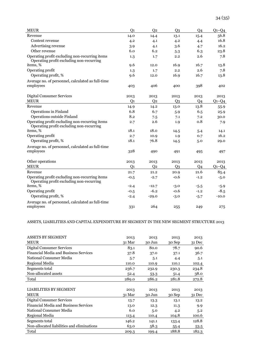| <b>MEUR</b>                                                                                | Q <sub>1</sub> | Q <sub>2</sub> | Q <sub>3</sub> | Q <sub>4</sub> | $Q_1-Q_4$ |
|--------------------------------------------------------------------------------------------|----------------|----------------|----------------|----------------|-----------|
| Revenue                                                                                    | 14.0           | 14.4           | 13.1           | 15.4           | 56.8      |
| Content revenue                                                                            | 4.2            | 4.1            | 4.2            | 4.4            | 16.8      |
| Advertising revenue                                                                        | 3.9            | 4.1            | 3.6            | 4.7            | 16.2      |
| Other revenue                                                                              | 6.0            | 6.2            | 5.3            | 6.3            | 23.8      |
| Operating profit excluding non-recurring items<br>Operating profit excluding non-recurring | 1.3            | 1.7            | 2.2            | 2.6            | 7.8       |
| items, %                                                                                   | 9.6            | 12.0           | 16.9           | 16.7           | 13.8      |
| Operating profit                                                                           | 1.3            | 1.7            | 2.2            | 2.6            | 7.8       |
| Operating profit, %                                                                        | 9.6            | 12.0           | 16.9           | 16.7           | 13.8      |
| Average no. of personnel, calculated as full-time                                          |                |                |                |                |           |
| employees                                                                                  | 403            | 406            | 400            | 398            | 402       |
| <b>Digital Consumer Services</b>                                                           | 2013           | 2013           | 2013           | 2013           | 2013      |
| <b>MEUR</b>                                                                                | Q <sub>1</sub> | Q <sub>2</sub> | Q <sub>3</sub> | Q <sub>4</sub> | $Q1-Q4$   |
| Revenue                                                                                    | 14.9           | 14.2           | 13.0           | 13.8           | 55.9      |
| Operations in Finland                                                                      | 6.8            | 6.7            | 5.9            | 6.5            | 25.9      |
| Operations outside Finland                                                                 | 8.2            | 7.5            | 7.1            | 7.2            | 30.0      |
| Operating profit excluding non-recurring items<br>Operating profit excluding non-recurring | 2.7            | 2.6            | 1.9            | 0.8            | 7.9       |
| items, %                                                                                   | 18.1           | 18.0           | 14.5           | 5.4            | 14.1      |
| Operating profit                                                                           | 2.7            | 10.9           | 1.9            | 0.7            | 16.2      |
| Operating profit, %                                                                        | 18.1           | 76.8           | 14.5           | 5.0            | 29.0      |
| Average no. of personnel, calculated as full-time                                          |                |                |                |                |           |
| employees                                                                                  | 328            | 490            | 491            | 495            | 497       |
| Other operations                                                                           | 2013           | 2013           | 2013           | 2013           | 2013      |
| <b>MEUR</b>                                                                                | Q <sub>1</sub> | Q <sub>2</sub> | Q <sub>3</sub> | Q <sub>4</sub> | $Q1-Q4$   |
| Revenue                                                                                    | 21.7           | 21.2           | 20.9           | 21.6           | 85.4      |
| Operating profit excluding non-recurring items<br>Operating profit excluding non-recurring | $-0.5$         | $-2.7$         | $-0.6$         | $-1.2$         | $-5.0$    |
| items, %                                                                                   | $-2.4$         | $-12.7$        | $-3.0$         | $-5.5$         | $-5.9$    |
| Operating profit                                                                           | $-0.5$         | $-6.2$         | $-0.6$         | $-1.2$         | $-8.5$    |
| Operating profit, %                                                                        | $-2.4$         | $-29.0$        | $-3.0$         | $-5.7$         | $-10.0$   |
| Average no. of personnel, calculated as full-time<br>employees                             | 331            | 264            | 255            | 249            | 275       |

## ASSETS, LIABILITIES AND CAPITAL EXPENDITURE BY SEGMENT IN THE NEW SEGMENT STRUCTURE 2013

| <b>ASSETS BY SEGMENT</b>                     | 2013   | 2013   | 2013   | 2013   |
|----------------------------------------------|--------|--------|--------|--------|
| <b>MEUR</b>                                  | 31 Mar | 30 Jun | 30 Sep | 31 Dec |
| <b>Digital Consumer Services</b>             | 83.1   | 80.0   | 78.7   | 90.6   |
| <b>Financial Media and Business Services</b> | 37.8   | 37.0   | 37.1   | 36.7   |
| National Consumer Media                      | 5.7    | 5.1    | 4.4    | 5.1    |
| Regional Media                               | 110.0  | 110.9  | 110.1  | 102.4  |
| Segments total                               | 236.7  | 232.9  | 230.3  | 234.8  |
| Non-allocated assets                         | 52.4   | 53.3   | 51.4   | 38.0   |
| Total                                        | 289.0  | 286.2  | 281.8  | 272.8  |
|                                              |        |        |        |        |
| <b>LIABILITIES BY SEGMENT</b>                | 2013   | 2013   | 2013   | 2013   |
| <b>MEUR</b>                                  | 31 Mar | 30 Jun | 30 Sep | 31 Dec |
| Digital Consumer Services                    | 13.7   | 13.3   | 13.1   | 13.2   |
| <b>Financial Media and Business Services</b> | 13.0   | 12.3   | 11.3   | 9.9    |
| National Consumer Media                      | 6.0    | 5.0    | 4.2    | 5.2    |
| Regional Media                               | 113.4  | 110.4  | 104.8  | 100.6  |
| Segments total                               | 146.2  | 141.1  | 133.4  | 128.8  |
| Non-allocated liabilities and eliminations   | 63.0   | 58.3   | 55.4   | 53.5   |
| Total                                        | 209.3  | 199.4  | 188.8  | 182.3  |